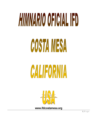# HIMMARIO OFICIAL IFD COSTA MESA **CALIFORNIA**



**www.ifdcostamesa.org**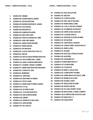- **1) SECUENCIA #02- EMMANUEL**
- **2) SECUENCIA #08- PELEARAN CONTRA EL CORDERO**
- **3) SECUENCIA #14-YO SÉ QUE CRISTO VIENE**
- **4) SECUENCIA #18-TRAEREMOS SACRIFICIOS DE ALABANZA**
- **5) SECUENCIA #22-EL ME LEVANTARA**
- **6) SECUENCIA #28-APOCALIPSIS 15:3**
- **7) SECUENCIA #31-EL MUNDO NO ES MI HOGAR**
- **8) SECUENCIA #34-SANTO, SANTO, SANTO**
- **9) SECUENCIA #39- ENTRA EN LA PRESENCIA DEL SEÑOR**
- **10) SECUENCIA #42- DAVID, DAVID, DANZABA**
- **11) SECUENCIA #44- QUIERO LEVANTAR MIS MANOS**
- **12) SECUENCIA #44- MARCHA CON GOZO.**
- **13) SECUENCIA #51- HOY PUEDO DECIR**
- **14) SECUENCIA #53- LA PAZ DE JESÚS (MI PAZ TE DOY A TI)**
- **15) SECUENCIA #57- ROCA MÍA**
- **16) SECUENCIA # 60- DIOS ESTA AQUÍ SU PRESENCIA SIENTO EN MI**
- **17) SECUENCIA # 63- PUES SI VIVIMOS PARA EL VIVIMOS**
- **18) SECUENCIA # 66- CANTAR A JEHOVÁ UN CÁNTICO NUEVO**
- **19) SECUENCIA # 72- CELEBRARE Y CANTARE A TU NOMBRE**
- **20) SECUENCIA #75- AUNQUE OTROS CANTEN PARA OTROS DIOSES.**
- **21) SECUENCIA #78- YO SIENTO PAZ Y GOZO**
- **22) SECUENCIA #81- INCONMOVIBLE**
- **23) SECUENCIA # 83- JEHOVÁ REINA**
- **24) SECUENCIA # 88- CRISTO ROMPE LAS CADENAS**
- **25) SECUENCIA # 91- TUYO ES EL REINO**
- **26) SECUENCIA # 94- QUIERO LLENAR TU TRONO DE ALABANZA**
- **27) SECUENCIA # 96- ES TU LUZ**
- **28) SECUENCIA # 98- HAY PODER EN JESÚS**
- **29) SECUENCIA # 101- TE EXALTARÉ MI DIOS MI REY**
- **30) SECUENCIA # 103- DIOS ES NUESTRO AMPARO**
- **31) SECUENCIA # 108- CÚBREME**
- **32) SECUENCIA # 110- PECADOR VEN AL DULCE JESÚS**
- **33) SECUENCIA # 113- LUGAR SANTÍSIMO**
- **34) SECUENCIA # 116- VEN Y DELÉITATE**
- **35) SECUENCIA # 118- CANTA, OH HIJA DE SION**
- **36) SECUENCIA # 120- AQUÍ ESTOY**
- **37) SECUENCIA # 123- EL GRITO DE ALEGRÍA (**
- **38) SECUENCIA # 126- MÁS EL DIOS DE TODA GRACIA**
- **39) SECUENCIA # 128- PRONTO VENDRÁ EL SEÑOR**
- **40) SECUENCIA # 133- EL VIVE, EL VIVE POR LA ETERNIDAD**
- **41) SECUENCIA # 135- HAY MOMENTOS TAN ESPECIALES**
- **42) SECUENCIA # 138- ESPÍRITU DE DIOS LLENA MI VIDA**
- **43) SECUENCIA # 140- EL GOZO QUE SIENTO YO**
- **44) SECUENCIA # 143- CON MI DIOS YO SALTARE LOS MUROS**
- **45) SECUENCIA # 146- SOY BAUTIZADO**
- **46) SECUENCIA # 149- JEHOVÁ EDIFICA A JERUSALÉN**
- **47) SECUENCIA # 150- LEVÁNTATE SEÑOR Y HUYAN DELANTE DE TI**
- **48) SECUENCIA # 154- BENDITA LA ROCA**
- **49) SECUENCIA # 157- ME GOZARE**
- **50) SECUENCIA # 160- SERÁ LLENA LA TIERRA DE SU GLORIA**
- **51) SECUENCIA # 163- MAJESTUOSO**
- **52) SECUENCIA # 166- CUAN GRANDE ES ÉL**
- **53) SECUENCIA # 171-QUIERO ANDAR CERCA DE TI**
- **54) SECUENCIA # 173-TE ALABO MI SEÑOR**
- **55) SECUENCIA # 175-A SU MAJESTAD**
- **56) SECUENCIA # 178-VAMOS A LA CASA DE DAVID**
- **57) SECUENCIA # 182- ELLOHIM (MI DIOS Y MI SEÑOR)**
- **58) SECUENCIA # 185- CUANDO VENGA DE LOS CIELOS EL SEÑOR**
- **59) SECUENCIA # 187-HOSANNA EN LAS ALTURAS**
- **60) SECUENCIA # 189- CELEBRAD A JEHOVÁ**
- **61) SECUENCIA # 192- GÓZATE DELANTE DEL SEÑOR**
- **62) SECUENCIA # 195-VESTIDO DE LINO FINO**
- **63) SECUENCIA # 199- EN LA CRUZ, ME HIRIÓ EL PECADO**
- **64) SECUENCIA # 202-GRITA HO ISRAEL, AL SONAR LA TROMPETA**
- **65) SECUENCIA # 205-EL ESPÍRITU DE DIOS ESTA EN ESTE LUGAR**
- **66) SECUENCIA # 207-AMARTE SOLO A TI**
- **67) SECUENCIA # 209- GRACIAS CRISTO**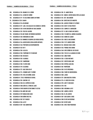- **68) SECUENCIA # 210- GRANDE ES EL SEÑOR**
- **69) SECUENCIA # 214- LEVÁNTATE SEÑOR**
- **70) SECUENCIA # 217- TE EXALTAMOS SOBRE UN TRONO**
- **71) SECUENCIA # 220- SALMO 1**
- **72) SECUENCIA # 224-CELEBRARE**
- **73) SECUENCIA # 227- JOEL 2:16 (SALGA DE SU CÁMARA EL NOVIO)**
- **74) SECUENCIA # 230- EN MI CORAZÓN HAY UNA CANCIÓN**
- **75) SECUENCIA # 232- ÓLEO DE ALEGRÍA**
- **76) SECUENCIA # 235-NO TEMÁIS-VICTORIOSO GUERRERO**
- **77) SECUENCIA # 238- MORADORA DE SION-**
- **78) SECUENCIA # 242-HOMBRE DE GUERRA (SU PUEBLO GRITO)**
- **79) SECUENCIA # 245-JEHOVÁ NISSI (CON ALEGRÍA GRITARE)**
- **80) SECUENCIA # 248- PREPAREN LOS INSTRUMENTOS**
- **81) SECUENCIA # 252-EN TI**
- **82) SECUENCIA # 256- ALELUYA**
- **83) SECUENCIA # 258- TEMPRANO YO TE BUSCARE**
- **84) SECUENCIA # 260- NO BASTA**
- **85) SECUENCIA # 263- ALABADLE**
- **86) SECUENCIA # 267- SUMÉRGEME**
- **87) SECUENCIA # 269- TU ERES DIOS**
- **88) SECUENCIA # 270- CELEBRAD**
- **89) SECUENCIA # 272- QUE SERIA DE MÍ**
- **90) SECUENCIA # 274- VENIMOS ANTE TI SEÑOR**
- **91) SECUENCIA # 276- VEN A MI SEÑOR JESÚS**
- **92) SECUENCIA # 278 EL PODEROSO DE ISRAEL**
- **93) SECUENCIA # 281- CANTARE A ÉL**
- **94) SECUENCIA # 285 SI EL ESPÍRITU DE DIOS**
- **95) SECUENCIA # 288 LEÓN DE LA TRIBU DE JUDÁ**
- **96) SECUENCIA # 291YO QUIERO ESTAR DONDE TU ESTAS**
- **97) SECUENCIA # 294 ABRE MIS OJOS**
- **98) SECUENCIA # 297 SENDAS DIOS HARÁ**
- **99) SECUENCIA # 299 SEÑOR ERES FIEL**
- **100) SECUENCIA # 302 YO TE BUSCO**
- **101) SECUENCIA # 304 AL REY**
- **102) SECUENCIA # 307- HAS AUMENTADO**
- **103) SECUENCIA # 310- TU AMOR POR MI**
- **104) SECUENCIA # 312- COMO EL SIERVO BUSCA POR LAS AGUAS**
- **105) SECUENCIA # 314- HAY UNA UNCIÓN**
- **106) SECUENCIA # 316- CRISTO NO ESTA MUERTO**
- **107) SECUENCIA # 318- JEHOVÁ ETERNO ES TU PODER**
- **108) SECUENCIA # 320- DISTE TU VIDA POR MÍ**
- **109) SECUENCIA # 325- COMPLETA ADORACIÓN**
- **110) SECUENCIA # 327- EL QUE LEVANTA MI CABEZA**
- **111) SECUENCIA # 330- YO HÁBITO AL ABRIGO (SALMO91)**
- **112) SECUENCIA # 333- DIGNO DE ALABAR**
- **113) SECUENCIA # 335- DIOS EL MAS GRANDE**
- **114) SECUENCIA # 338- YO TE ADORO SEÑOR**
- **115) SECUENCIA # 341- GRACIAS SEAN A DIOS**
- **116) SECUENCIA # 345- PORQUE ERES DIGNO**
- **117) SECUENCIA # 348- ERES SEÑOR DE LOS CIELOS**
- **118) SECUENCIA # 350- TUYA ES LA ALABANZA EN SION**
- **119) SECUENCIA # 353- ABBA PADRE**
- **120) SECUENCIA # 355- A CADA INSTANTE**
- **121) SECUENCIA # 357- CRISTO HEME AQUÍ**
- **122) SECUENCIA # 359- REPOSA ALMA MIA**
- **123) SECUENCIA # 361- PURIFÍCAME**
- **124) SECUENCIA # 363- EN TU PRESENCIA**
- **125) SECUENCIA # 366- PADRE DE MISERICORDIA**
- **126) SECUENCIA # 368- JESÚS**
- **127) SECUENCIA # 371- SANA NUESTRA TIERRA**
- **128) SECUENCIA # 374- EL GOZO DE MI VIDA**
- **129) SECUENCIA # 376- ANTE TI CON GOZO**
- **130) SECUENCIA # 378- VEN**
- **131) SECUENCIA # 380- HOSANNA AL REY**
- **132) SECUENCIA # 382- ADORO A CRISTO**
- **133) SECUENCIA # 384-TU, OH JEHOVÁ**
- **134) SECUENCIA # 387- DAD GLORIA A DIOS**
- **135) SECUENCIA # 389-TU RES MI RESPIRAR**
- **137) SECUENCIA # 391-TU RÍO FLUIRÁ**
- **138) SECUENCIA # 394 -ERES TODO PODEROSO**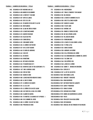#### **PAGINA # \* NUMERO DE SECUENCIA \* TITULO PAGINA # \* NUMERO DE SECUENCIA \* TITULO**

- **140) SECUENCIA # 397-ENCIENDE UNA LUZ**
- **141) SECUENCIA # 400-UNIDOS EN SU NOMBRE**
- **143) SECUENCIA # 403- LEVÁNTATE Y SÁLVAME**
- **144) SECUENCIA # 407- GRITA DE JUBILO**
- **145) SECUENCIA # 410- ESTE ES EL DÍA**
- **146) SECUENCIA # 413- YO QUIERO ESTAR ANTE TU ALTAR**
- **147) SECUENCIA # 416- RESPLANDECE**
- **148) SECUENCIA # 418- AL QUE ME CIÑE DE PODER**
- **149) SECUENCIA # 420- LEVANTO MIS MANOS**
- **150) SECUENCIA # 423- QUIERO ESCUCHAR**
- **151) SECUENCIA # 426- BAJO SUS PIES**
- **152) SECUENCIA # 429- COMO BÚFALO**
- **153) SECUENCIA # 432- CON MANOS VACÍAS**
- **154) SECUENCIA # 435- EL SEÑOR ES MI PASTOR**
- **155) SECUENCIA # 437- EN EL ESTOY SEGURO**
- **156) SECUENCIA # 440- ES HORA DE ADORARLE**
- **157) SECUENCIA # 442- EXÁLTATE**
- **158) SECUENCIA # 444- MI CRISTO**
- **159) SECUENCIA # 448- RENUÉVAME**
- **160) SECUENCIA # 451- SOY NUEVA CRIATURA**
- **161) SECUENCIA # 453- YO QUIERO MAS DE TI**
- **162) SECUENCIA # 455- DRAW ME CLOSE TO YOU (ACERCAME A TI )**
- **163) SECUENCIA # 457- VINE A ADORAR A DIOS**
- **164) SECUENCIA # 459- ERES MI TODO**
- **165) SECUENCIA # 462- BUENO ES DIOS**
- **166) SECUENCIA # 466- LLENAS NUESTRO HOGAR DE DANZA**
- **167) SECUENCIA # 469- AL QUE ES DIGNO**
- **168) SECUENCIA # 472- EL BORDE DE SU MANTO**
- **169) SECUENCIA # 475- EL ES EL REY**
- **170) SECUENCIA # 478- EL SEÑOR ESTA EN ESTE LUGAR**
- **171) SECUENCIA # 480- HAY GOZO EN LA CASA DEL SEÑOR**
- **172) SECUENCIA # 483- CLAMOR DE GUERRA**
- **173) SECUENCIA # 484- TU HABITAS LA ALABANZA DE TU PUEBLO )**
- **174) SECUENCIA # 486- EN EL NOMBRE DE JESÚS**
- **175) SECUENCIA # 488- EL SEÑOR ES MI REY MI TODO**
- **176) SECUENCIA # 490- PRESENCIA DE DIOS-**

- **177) SECUENCIA # 494- MISERICORDIA**
- **178) SECUENCIA # 497- TOMA EL PANDERO Y VEN DANZAR**
- **179) SECUENCIA # 501- MIL GRACIAS**
- **180) SECUENCIA # 503- LEVANTO TU NOMBRE EN ALTO**
- **181) SECUENCIA # 505- ERES TÚ LA ÚNICA RAZÓN**
- **182) SECUENCIA # 507- BUENO ES ALABAR**
- **183) SECUENCIA # 509- YO SOY LIBRE**
- **184) SECUENCIA # 513- ENVÍAME A MÍ**
- **185) SECUENCIA # 515- SOMOS EL PUEBLO DE DIOS**
- **186) SECUENCIA # 518- ME HAS ATRAÍDO JESÚS**
- **187) SECUENCIA # 521- MI JESÚS MI AMADO**
- **188) SECUENCIA # 524- REMOLINEANDO**
- **189) SECUENCIA # 529- LEVANTA TU CASA SOBRE LA ROCA**
- **190) SECUENCIA # 532- TE PIDO LA PAZ**
- **191) SECUENCIA # 534- DAME DE BEBER**
- **192) SECUENCIA # 536- ADORARE A MI SEÑOR**
- **193) SECUENCIA # 538- EN LA PRESENCIA DEL SEÑOR**
- **194) SECUENCIA # 540- SEA ENGRANDECIDO EL NOMBRE DE JEHOVÁ**
- **195) SECUENCIA # 543- TAL COMO SOY**
- **196) SECUENCIA # 546- VEN ESPÍRITU VEN**
- **197) SECUENCIA # 548- JESÚS ES EL SEÑOR**
- **198) SECUENCIA # 551- SOBRE TI (REBOSA MI CORAZÓN)**
- **199) SECUENCIA # 554- CERCA DE TI**
- **200) SECUENCIA # 557- AL REY DE LOS REYES**
- **201) SECUENCIA # 560- DIOS MANDA LLUVIA**
- **202) SECUENCIA # 562- VENCERÉ Y VENCERÁS**
- **203) SECUENCIA # 564- GRAN GUERRERO**
- **204) SECUENCIA # 567- NO PUEDO PARAR DE ALABARTE**
- **205) SECUENCIA # 570- SANTO Y PODEROSO**
- **206) SECUENCIA # 573- VENGA TU REINO**
- **207) SECUENCIA # 576- SENTADO EN SU TRONO**
- **208) SECUENCIA # 579- SOMOS LOS GUERREROS DE JEHOVÁ**
- **209) SECUENCIA # 582- FIESTA**
- **210) SECUENCIA # 585- PON ACEITE EN MI VIDA SEÑOR**
- **211) SECUENCIA # 588- RESTAURARAS**
- **212) SECUENCIA # 592- GRACIAS, ME HAS TOMADO EN TUS BRAZOS**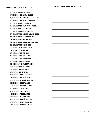**. . . . . . . . . . . . . . . . . . . . . . . . . . . . . . . . . . . . . . . . . . . . . . . . . . . . . . . . . . . . . . . . . . . . . . . . . . . . . . . . . . .**

**213) SECUENCIA # 595- HAY VICTORIA 214) SECUENCIA # 598- CUENTAN DE UN DIOS 215) SECUENCIA # 601- EN LOS MONTES, EN LOS VALLES 216) SECUENCIA # 604- JEHOVÁ ES MI GUERRERO 217) SECUENCIA # 607- SI TUVIERAS FE 218) SECUENCIA # 609- PALABRAS DE VIDA ETERNA 219) SECUENCIA # 612- ABRE LOS CIELOS 220) SECUENCIA # 616- SE QUE ESTAS AQUÍ 221) SECUENCIA # 619- AMIGOS EN LA FAMILIA DE DIOS 222) SECUENCIA # 621- MELODÍA ANGELICAL 223) SECUENCIA # 624- RENDIR MI VIDA A TI 224) SECUENCIA #626- LAS VENTANAS DE LOS CIELOS 225) SECUENCIA #629- SECRETO LUGAR 226) SECUENCIA #632- SIENTO SU GLORIA 227) SECUENCIA #634- MI PASIÓN 228) SECUENCIA #636- YO TE AMARE 229) SECUENCIA #638- CRISTO TE AMO 230) SECUENCIA #640- NO PUEDO VIVIR 231) SECUENCIA #643- DULCE REFUGIO 232) SECUENCIA #645- LA VICTORIA MÍA ES 233) SECUENCIA 648- PUEDO CONFIAR EN TI 234) SECUENCIA #651- TE ALABAMOS 235) SECUENCIA #654 REY DE REYES 236) SECUENCIA # 657 EL SANTO DE ISRAEL 237) SECUENCIA # 659 LEVÁNTATE SEÑOR 238) SECUENCIA # 662 LA NIÑA DE TUS OJOS 239) SECUENCIA # 665 DE TAL MANERA 240) SECUENCIA # 668 VUELVE A LLAMAR 241) SECUENCIA # 673 SOY SANO 242) SECUENCIA # 676 TENGO LIBERTAD 243) SECUENCIA # 678 ¡VENGAN TODOS! 244) SECUENCIA # 681 COMO LA BRISA 245) SECUENCIA # 684 JESÚS MI FIEL AMIGO 246) SECUENCIA # 687 A TI SEA LA GLORIA 247) SECUENCIA # 690 BIENAVENTURADO**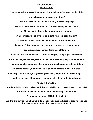### **SECUENCIA # 2 Emmanuel**

**Cantemos todos juntos a Emmanuel, Porque él es Señor, con voz de jubilo yo me alegrare en el cordero de Dios // Dios a la tierra envió a Jesús el cielo y el mar se regocijo Bendito sea el Señor, Ho Rey, porque él es el Rey y él es Dios // A! Aleluya A! Aleluya // hay un poder que consume en mi corazón, fuego divino que quema y no se puede apagar // Alabaré al Señor con danza, bendeciré al Señor con canto alabaré al Señor con danza, me alegrare, me gozare en su poder // Jashua, Jashua, Jashua, Jashua es el Señor // La paz de Dios con nosotros /// Ahora y siempre, Siempre por la eternidad. Entonces la iglesia se alegrará en la danza los jóvenes y viejos juntamente // y cambiare su lloro en gozo y los alegrare y los alegrare de todo su dolor // No temas porque yo te redimí, yo te puse un nombre nuevo, mío eres cuando pases por las aguas yo contigo estaré y si por los ríos no te anegaras cuando pases por el fuego no te quemaras ni la llama arderá en ti porque Yo soy tu Salvador // La, la, la, la, laila // mirad cuan bueno y delicioso es habitar los hermanos juntos en armonía // Porque ahí envía Jehová bendición, bendición y vida eterna // // Hosanna, hosanna //Al hijo de David //**

**Bendito el que viene en el nombre del Señor - con toda la fuerza lo diga nuestra voz En las alturas hosanna, En las alturas hosanna //**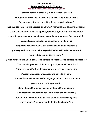# **SECUENCIA # 8 Pelearan Contra El Cordero**

[http://www.youtube.com/watch?v=chG2kc\\_e4Ow](http://www.youtube.com/watch?v=chG2kc_e4Ow)

**Pelearan contra el cordero y el cordero los vencerá // Porque él es Señor de señores, porque él es Señor de señores // Rey de reyes, Rey de reyes, Rey de reyes gloria a Dios // Los que esperan, los que esperan e**n Jehová // Como las águilas, como las águilas **sus alas levantaran, como las águilas, como las águilas sus alas levantaran correrán y no se casaran, caminaran, no se fatigaran nuevas fuerzas tendrán nuevas fuerzas tendrán, los que esperan en Jehová // Su gloria cubrió los cielos, y la tierra se lleno de su alabanza // y el resplandor fue como la luz rayos brillantes salían de sus manos // y ahí estaba escondido su poder // // Y los fariseos decían sin cesar ese hombre es pecador, ese hombre es pecador // // si es pecador yo no lo sé, lo único que sé, es que él me salvo // // Ven, ven, ven Espíritu divino - Ven, ven, ven, acércate a mí // // Apodérate, apodérate, apodérate de todo mi ser // // Pon aceite en mi lámpara Señor // Que yo quiero servirte con amor pon aceite en mi lámpara señor Señor Jesús tú eres mi vida, señor Jesús tú eres mi amor // salvaste mi alma perdida por eso te alabo con el corazón // // En el principio el Espíritu de Dios se movía sobre las aguas // // pero ahora sé esta moviendo dentro de mi corazón //**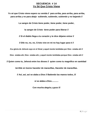# **SECUENCIA # 14 Yo Sé Que Cristo Viene**

**Yo sé que Cristo viene espero su venida // para arriba, para arriba, para arriba, para arriba y no para abajo subiendo, subiendo, subiendo y no bajando //**

**La sangre de Cristo tiene poder, tiene poder, tiene poder,**

**la sangre de Cristo tiene poder para liberar //**

**// Si el diablo llega a tu corazón y te dice déjame entrar //**

**// Dile no, no, no, Cristo vive en mi no hay lugar para ti //**

**//La gloria de Jehová cayo en el Sinaí y aquel monte temblaba por Dios estaba ahí //**

**Dios estaba ahí, Dios estaba ahí, y aquel monte temblaba porque Dios estaba ahí //**

**// Quien como tu, Jehová entre los dioses // quien como tu magnifico en santidad**

**terrible en loores hacedor de maravillas, Hacedor de maravillas.**

**// Así, así, así se alaba a Dios // Batiendo las manos todos, ///**

**sí se alaba a Dios............**

**Con mucha alegría y gozo ///**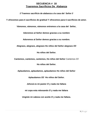# **SECUENCIA # 18 Traeremos Sacrificios De Alabanza**

**// Traemos sacrificio de alabanza a la casa del Señor //**

**Y ofrecemos para ti sacrificios de gratitud Y ofrecemos para ti sacrificios de amor.**

**Vámonos, vámonos, vámonos entremos a la casa del Señor,**

**Adoremos al Señor demos gracias a su nombre**

**Adoremos al Señor demos gracias a su nombre.**

**Alegraos, alegraos, alegraos Ho niños del Señor alegraos /////**

**Ho niños del Señor.**

**Cantemos, cantemos, cantemos, Ho niños del Señor** Cantemos /////

**Ho niños del Señor.**

**Aplaudamos, aplaudamos, aplaudamos Ho niños del Señor**

**Aplaudamos ///// Ho niños del Señor.**

**Jehová es mi pastor /// y nada me faltara**

**mi copa esta rebosando /// y nada me faltara**

**Ungiste mi cabeza con aceite /// y nada me faltara.**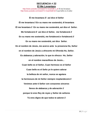## **SECUENCIA # 22 El Me Levantara**

[http://www.youtube.com/watch?v=eUsA3B-n\\_zk](http://www.youtube.com/watch?v=eUsA3B-n_zk) El me levantara <http://www.youtube.com/watch?v=ZxpG5tdbYj0> Cuan bello es el señor

**Él me levantara /// así dice el Señor Él me levantara // En su mano me sostendrá, él levantara Él me levantara // En su mano me sostendrá, así dice el Señor. Me fortalecerá /// así dice el Señor, me fortalecerá // En su mano me sostendrá, me fortalecerá e fortalecerá // En su mano me sostendrá, así dice Señor. En el nombre de Jesús, me acerco ante tu presencia Ho, Señor en el nombre de Jesús a ofrecerte mi Ofrenda Ho, Señor. Es alabanza y adoración; lo que te ofrezco Ho, Señor en el nombre maravilloso de Jesús... Cuan bello es el Señor, Cuan hermoso es el Señor Cuan bello es el Seño yo le quiero adorar la belleza de mi señor, nunca se agotara la hermosura de mi Señor siempre resplandecerá // Venimos ante ti Señor con corazones sinceros llenos de alabanza y de adoración // porque tú eres Rey de reyes y Señor de señores Tú eres digno de que todos te adoren //**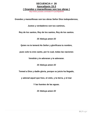# **SECUENCIA # 28 Apocalipsis 15:3 ( Grandes y maravillosas son tus obras )**

<http://www.youtube.com/watch?v=joOI0jedfVM>

**Grandes y maravillosas son tus obras Señor Dios todopoderoso,**

**Justos y verdaderos son tus caminos,**

**Rey de los santos, Rey de los santos, Rey de los santos.**

**//// Aleluya amen ////**

**Quien no te temerá Ho Señor y glorificara tu nombre,**

**pues solo tu eres santo, por lo cual, todas las naciones**

**Vendrán y te adoraran y te adoraran.**

**//// Aleluya amen ////**

**Temed a Dios y dadle gloria, porque su juicio ha llegado,**

**y adorad aquel que hizo, el cielo, y la tierra, y el mar**

**Y las fuentes de las aguas.**

**//// Aleluya amen ////**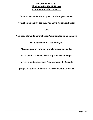# **SECUENCIA # 31 El Mundo No Es Mi Hogar ( la senda ancha dejare )**

**La senda ancha dejare yo quiero por la angosta andar,**

**y muchos no sabrán por que, Mas voy a mi celeste hogar!**

**coro:**

**No puede el mundo ser mi hogar // en gloria tengo mi mansión**

**No puede el mundo ser mi hogar.**

**Algunos quieren verme ir, por el sendero de maldad**

**oír no puedo su llamar, Pues voy a mi celeste hogar.**

**¡ Ho, ven conmigo, pecador, Y sigue en pos del Salvador!**

**¡porque no quieres tu buscar, La hermosa tierra mas allá!**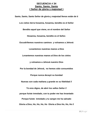# **SECUENCIA # 34 Santo, Santo, Santo ( Señor de gloria y majestad )**

**Santo, Santo, Santo Señor de gloria y majestad llenos están de ti Los cielos tierra hosanna, hosanna, bendito es el Señor Bendito aquel que viene, en el nombre del Señor Hosanna, hosanna, bendito es el Señor. Escudriñemos nuestros caminos y volvamos a Jehová Levantemos nuestras manos a Dios Levantemos nuestras manos al Dios de los cielos y volvamos a Jehová nuestro Dios Por la bondad de Jehová, no hemos sido consumidos Porque nunca decayó su bondad Nuevas son cada mañana y grande es su fidelidad // Tú eres digno, de abrir los sellos Señor // porque fuiste inmolado, con tu poder me has levantado Porque fuiste inmolado y tu sangre me ha salvado Gloria a Dios, Ho, Ho, Ho, Ho Gloria a Dios Ho, Ho, Ho //**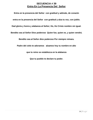# **SECUENCIA # 39 Entra En La Presencia Del Señor**

**Entra en la presencia del Señor con gratitud y adórale, de corazón entra en la presencia del Señor con gratitud y alza tu voz, con jubilo. Dad gloria y honra y alabanza al Señor; Ho, Ho Cristo nombre sin igual. Bendito sea al Señor Dios poderoso Quien fue, quien es, y quien vendrá. Bendito sea al Señor dios poderoso Por siempre reinara. Padre del cielo te adoramos alzamos hoy tu nombre en alto que tu reino se establezca en la alabanza**

**Que tu pueblo te declare tu poder.**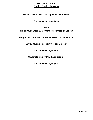# **SECUENCIA # 42 David, David, danzaba**

**David, David danzaba en la presencia del Señor**

**Y el pueblo se regocijaba..**

#### **coro**

**Porque David andaba.. Conforme el corazón de Jehová..**

**Porque David andaba.. Conforme el corazón de Jehová..**

**David, David, peleó contra el oso y el león**

**Y el pueblo se regocijaba..**

**Saúl mato a mil y David a su diez mil**

**Y el pueblo se regocijaba..**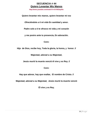# **SECUENCIA # 44 Quiero Levantar Mis Manos**

**<http://www.youtube.com/watch?v=GYWi2tqxfkc>**

**Quiero levantar mis manos, quiero levantar mi voz**

*Ofreciéndote a ti mi vida* **En santidad y amor.**

**Padre solo a ti te ofrezco mi vida y mi corazón**

**y me postro ante tu presencia, En adoración.**

**Coro:**

**Hijo de Dios, recibe hoy, Toda la gloria, la honra, y honor. //**

**Majestad, adorad a su Majestad,**

**Jesús murió la muerte venció él vive y es Rey. //**

**Coro:**

**Hay que adorar, hay que exaltar, El nombre de Cristo. //**

**Majestad, adorad a su Majestad, Jesús murió la muerte venció**

**Él vive y es Rey.**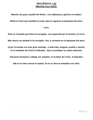# **SECUENCIA # 47 Marcha Con Gozo.**

**Marcha con gozo, pueblo del Señor, Con alabanzas y glorias al creador;**

**Mirad a Cristo que humilde te invita, Que te regreses al banquete del amor.**

**Coro:**

**Este es el pueblo que Dios ha escogido, era esparcido por el mundo y el error,**

**Mas ahora con piedad lo ha recogido: Ven, a recrearte en el banquete del amor.**

**Id por el mundo con este gran mensaje, a toda tribu, lenguas, pueblo y nación: es el mandato de Cristo el Salvador, Que se predique su santa salvación.**

**Ved pues hermanos, trabaja con empeño, en la labor de Cristo el Salvador,**

**allá en el cielo corona te espera, Si en su obra te empeñas con valor.**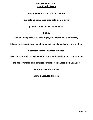# **SECUENCIA: # 51 Hoy Puedo Decir**

**Hoy puedo decir con todo mi corazón**

**que solo no estoy pues Dios esta, dentro de mí**

**y puedo cantar Alabanzas al Señor.**

#### **CORO:**

**Te alabamos padre // Tú eres digno, eres eterno por siempre Rey.**

**Mi anhelo será en todo mi caminar, amarte mas hasta llegar a ver tu gloria**

**y siempre cantar Alabanzas al Señor.**

**Eres digno de abrir, los sellos Señor // porque fuiste inmolado con tu poder**

**me has levantado porque fuiste inmolado y tu sangre me ha salvado**

**Gloria a Dios, Ho, Ho, Ho**

**Gloria a Dios, Ho, Ho, Ho //**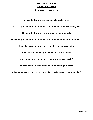# **SECUENCIA # 53 La Paz De Jesús ( mi paz te doy a ti )**

**Mi paz, te doy a ti, esa paz que el mundo no da**

**esa paz que el mundo no entiende para ti recíbelo: mi paz, te doy a ti.**

**Mi amor, te doy a ti, ese amor que el mundo no da**

**ese amor que el mundo no entiende para ti recíbelo: mi amor, te doy a ti.**

**Ante el trono de tu gloria yo he venido mi buen Salvador**

**a decirte que te amo, que te amo, y te quiero servir**

**que te amo, que te amo, que te amo y te quiero servir //**

**Te amo Jesús, te amo Jesús te amo y bendigo tu amor**

**mis manos alzo a ti, me postro ante ti me rindo solo a ti Señor Jesús //**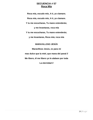# **SECUENCIA # 57 Roca Mía**

**Roca mía, escudo mío, A ti, yo clamare; Roca mía, escudo mío, A ti, yo clamare. Y tu me escucharas, Tu mano extenderás; y me levantaras, roca mía Y tu me escucharas, Tu mano extenderás; y me levantaras, Roca mía; roca mía MARAVILLOSO JESÚS Maravilloso Jesús, es para mí**

**mas dulce que la miel, que mana del panal // Me libero, él me libero yo le alabare por toda**

**La eternidad //**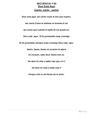# **SECUENCIA # 60 Dios Esta Aquí (santo, santo , santo)**

**Dios esta aquí, tan cierto como el aire que respiro, tan cierto Como la mañana se levanta el sol tan cierto que cuando le hablo Él me puede oír. Dios está aquí, El ha prometido estar conmigo El ha prometido siempre estar conmigo Dios está aquí. Santo, Santo, Santo mi corazón te adora mi corazón, sabe decir Santo eres tú. No daré mi vida a nadie mas que a ti // No daré mi vida a nadie mas // Porque solo tu me llenas de tu amor.**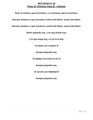# **SECUENCIA 63 Pues Si Vivimos Para El vivimos**

**Pues si vivimos, para él vivimos; y si morimos, para él morimos;**

**Sea que vivamos o que muramos; somos del Señor, somos del Señor,**

**Sea que vivamos, o que muramos; somos del Señor, somos del Señor.**

**Señor pequeño soy, y no muy fuerte soy;**

**y lo que tengo hoy, a ti yo te lo doy**

**Te amare con corazón ///**

**Aunque pequeño soy.**

**Te alabare con todo mi ser ///**

**Aunque pequeño soy.**

**Te serviré con fidelidad ///**

**Aunque pequeño soy.**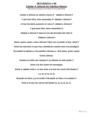# **SECUENCIA # 66 Cantar A Jehová Un Cántico Nuevo**

<http://www.youtube.com/watch?v=Hu1ioBV0aNk>

**Cantar a Jehová un cántico nuevo /// alabad a Jehová // Y que hizo Dios, hizo maravillas /// alabad a Jehová // el mar les abrió, pasaron en seco /// alabad a Jehová // Y que hace Dios, hace maravillas /// Alabad a Jehová // mana el nos dio Enviado del cielo /// Alabad a Jehová //**

**Quien, quien, quien, como Jehová // Que con su poder el mar abrió //**

**Oirán las naciones lo que hizo, temblaran cuando vean sus prodigios**

**Su pueblo le alabara y con pandero danzara y dirá quien, quien, quien** 

**Como Jehová.**

**Cantare al señor por siempre // su diestra es todo poder //**

**Echo a la mar quien los perseguía**

**Jinete y caballo echo a la mar echo a la mar los carros Del faraón //**

**La, la, la, la, la, la.**

**Mi padre es Dios y yo le exalto // Mi padre es Dios y le exaltare //**

**Echo a la mar los carros del faraón la, la, la, la, la, la.**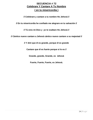# **SECUENCIA # 72 Celebrare Y Cantare A Tu Nombre ( en tu misericordia )**

#### **// Celebrare y cantare a tu nombre Ho Jehová //**

**// En tu misericordia he confiado me alegrare en tu salvación //**

**// Tú eres mi Dios y yo te exaltare Ho Jehová //**

**// Cántico nuevo cantare a Jehová cántico nuevo cantare a su majestad //**

**// Y diré que él es grande, porque él es grande** 

**Cantare que él es fuerte porque si lo es //**

**Grande, grande, Grande, es Jehová**

**Fuerte, Fuerte, Fuerte, es Jehová.**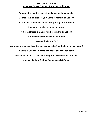# **SECUENCIA # 75 Aunque Otros Canten Para otros dioses.**

**Aunque otros canten para otros dioses hechos de metal,**

**De madera o de bronce yo alabare el nombre de Jehová**

**El nombre de Jehová alabare. Porque soy un sacerdote**

**Llamado a ministrar en su presencia**

**Y ahora alabare el Santo nombre bendito de Jehová.**

**Aunque un ejército acampe contra mí**

**No temerá mi corazón //**

**Aunque contra mí se levanten guerras yo estaré confiado en mi salvador //**

**Alabare al Señor con danza bendeciré al Señor con canto**

**alabare al Señor con danza me alegrare, me gozare en su poder.**

**Jashua, Jashua, Jashua, Jashua, es el Señor. //**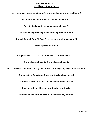# **SECUENCIA: # 78 Yo Siento Paz Y Gozo**

**Yo siento paz y gozo en mi corazón // porque Jesucristo ya me liberto //**

**Me liberto, me liberto de las cadenas me liberto //.**

**En este día la gloria es para él, para él, para él,**

**En este día la gloria es para él ahora y por la eternidad,**

**Para él, Para él, Para él, Para él, en este día la gloria es para él**

**ahora y por la eternidad.**

**Y si yo canto............. Y si yo aplaudo........ Y en mi vida..........**

**Brota alegría alma mía, Brota alegría alma mía**

**En la presencia del Señor no hay tristeza ni dolor alégrate, alégrate en el Señor.**

**Donde esta el Espíritu de Dios hay libertad, hay libertad**

**Donde esta el Espíritu de Dios allí siempre hay libertad,**

**hay libertad, hay libertad, hay libertad hay libertad**

**Donde esta el espíritu de Dios Allí siempre hay libertad.**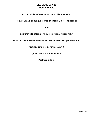# **SECUENCIA # 81 Inconmovible**

**Inconmovible así eres tú, Inconmovible eres Señor**

**Tu nunca cambias aunque te ofenda Integro y justo, así eres tu.**

**Coro:**

**Inconmovible, inconmovible, roca eterna, tú eres fiel ///**

**Toma mi corazón lavado de maldad, toma todo mi ser, para adorarte,**

**Postrado ante ti te doy mi corazón ///**

**Quiero servirte eternamente ///**

**Postrado ante ti.**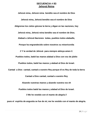## **SECUENCIA # 83 Jehová Reina**

**Jehová reina, Jehová reina bendito sea el nombre de Dios Jehová reina, Jehová bendito sea el nombre de Dios Alégrense los cielos gócese la tierra y digan en las naciones, hey Jehová reina, Jehová reina bendito sea el nombre de Dios. Alabad a Jehová Naciones todas, pueblos todos alabadle, Porque ha engrandecido sobre nosotros su misericordia // Y la verdad de Jehová para siempre aleluya amen //. Pueblos todos, batid las manos alabad a Dios con voz de júbilo Pueblos todos, batid las manos y alabad al Dios de Israel. Cantad a Dios cantad, cantad a vuestro Rey porque él es Rey de toda la tierra Cantad a Dios cantad, cantad a vuestro Rey Alzando vuestras manos y alzando vuestra voz eh Pueblos todos batid las manos y alabad al Dios de Israel. // Me he vestido con el manto de alegría // pues el espíritu de angustia se fue de mí, me he vestido con el manto de alegría.**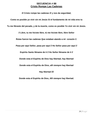# **SECUENCIA # 88 Cristo Rompe Las Cadenas**

**/// Cristo rompe las cadenas /// y nos da seguridad,**

**Como es posible yo vivir sin mi Jesús Sí el fundamento de mi vida eres tu Tu me libraste del pecado, y de la muerte, como es posible Yo vivir sin mi Jesús. // Libre, tu me hiciste libre, tú me hiciste libre, libre Señor Rotas fueron las cadenas Que estaban atando a mí corazón //. Pasa por aquí Señor, pasa por aquí // Ho Señor pasa por aquí // Espíritu Santo lléname de ti // Ho Señor lléname de ti // Donde esta el Espíritu de Dios hay libertad, hay libertad Donde esta el Espíritu de Dios, allí siempre hay libertad Hay libertad ////**

**Donde esta el Espíritu de Dios, Allí siempre hay libertad.**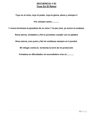# **SECUENCIA # 91 Tuyo Es El Reino**

**Tuyo es el reino, tuyo el poder, tuya la gloria, ahora y siempre //**

**Por siempre amen.............**

**Y nunca terminara la grandeza de su reino Y la paz será, ya nunca se acabara.**

**Roca eterna, verdadero y fiel tu prometes cumplir con tu palabra**

**Roca eterna, eres justo y fiel mi confianza siempre en ti pondré.**

**Mi refugio contra la tormenta la torre de mi protección**

**Fortaleza en dificultades mi escondedero eres tú.............**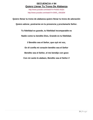# **SECUENCIA # 94 Quiero Llenar Tu Trono De Alabanza**

<http://www.youtube.com/watch?v=PwStG-dVjSs> [http://www.youtube.com/watch?v=DWS\\_-D818ZM](http://www.youtube.com/watch?v=DWS_-D818ZM)

**Quiero llenar tu trono de alabanza quiero llenar tu trono de adoración**

**Quiero adorar, postrarme en tu presencia y proclamarte Señor.**

**Tu fidelidad es grande, tu fidelidad incomparable es**

**Nadie como tu bendito Dios, Grande es tu fidelidad.**

**// Bendito sea el Señor, que oyó mi voz,**

**En él confía mi corazón bendito sea el Señor** 

**Bendito sea el Señor, el me bendijo con gozo** 

**Con mi canto le alabare, Bendito sea el Señor //**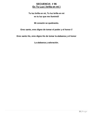# **SECUENCIA # 96 Es Tu Luz ( brilla en mi )**

**Tu luz brilla en mi, Tu luz brilla en mi es tu luz que me iluminó//**

**Mi corazón se quebranto.**

**Eres santo, eres digno de tomar el poder y el honor //**

**Eres santo Ho, eres digno Ho de tomar la alabanza y el honor**

**La alabanza y adoración.**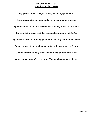# **SECUENCIA # 98 Hay Poder En Jesús**

**Hay poder, poder, sin igual poder, en Jesús, quien murió Hay poder, poder, sin igual poder, en la sangre que él vertió. Quieres ser salvo de toda maldad tan solo hay poder en mi Jesús Quieres vivir y gozar santidad tan solo hay poder en mi Jesús. Quieres ser libre de orgullo y pasión tan solo hay poder en mi Jesús Quieres vencer toda cruel tentación tan solo hay poder en Jesús. Quieres servir a tu rey y señor, tan solo hay poder en mi Jesús Ven y ser salvo podrás en su amor Tan solo hay poder en Jesús.**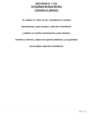# **SECUENCIA # 101 Te Exaltaré Mi Dios Mi Rey ( Grande es Jehová )**

**Te exaltare m i Dios mi rey, y bendeciré tu nombre**

**Eternamente y para siempre, cada día te bendeciré.**

**y alabare tu nombre eternamente y para siempre.**

**Grande es Jehová, y digno de suprema alabanza, y su grandeza**

**Inescrutable cada día te bendeciré.**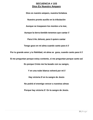# **SECUENCIA # 103 Dios Es Nuestro Amparo**

**Dios es nuestro amparo, nuestra fortaleza** 

**Nuestro pronto auxilio en la tribulación** 

**Aunque se traspasen los montes a la mar,**

**Aunque la tierra tiemble tenemos que cantar //**

**Para ti Ho Jehová, para ti quiero cantar**

**Tengo gozo en mi alma cuando canto para ti //**

**Por tu grande amor y tu fidelidad, mi alma se goza, cuando canto para ti //**

**Si me preguntan porque estoy contento, si me preguntan porque canto así**

**Es porque Cristo me ha lavado con su sangre,**

**Y en una nube blanca volverá por mí //**

**Hay victoria /// en la sangre de Jesús**

**No podrá el enemigo vencer a nuestras almas**

**Porque hay victoria /// En la sangre de Jesús.**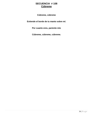# **SECUENCIA # 108 Cúbreme**

**Cúbreme, cúbreme**

**Extiende el borde de tu manto sobre mí.**

**Por cuanto eres, pariente mío**

**Cúbreme, cúbreme, cúbreme.**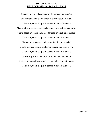## **SECUENCIA # 110 PECADOR VEN AL DULCE JESÚS**

Pecador, ven al dulce Jesús, y feliz para siempre serás: Si en verdad le quisieras tener, al divino Jesús Hallarás. // Ven a él, ven a él, que te espera tu buen Salvador // Si cual hijo que necio pecó, vas buscando a sus pies compasión, Tierno padre en Jesús hallarás, y tendrás en sus brazos perdón // Ven a él, ven a él, que te espera tu buen Salvador // Si enfermo te sientes morir, el será tu doctor celestial; Y hallaras en su sangre también, medicina que cure tu mal // Ven a él, ven a él, que te espera tu buen Salvador // Ovejuela que huyo del redil, he aquí tu benigno Señor Y en los hombros llevada serás de tan dulce y amante pastor // Ven a él, ven a él, que te espera tu buen Salvador //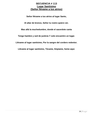## **SECUENCIA # 113 Lugar Santísimo (Señor llévame a tus atrios)**

**Señor llévame a tus atrios al lugar Santo,**

**Al altar de bronce, Señor tu rostro quiero ver.**

**Mas allá la muchedumbre, donde el sacerdote canta**

**Tengo hambre y sed de justicia Y solo encuentro un lugar.**

**Llévame al lugar santísimo, Por la sangre del cordero redentor.**

**Llévame al lugar santísimo, Tócame, límpiame, heme aquí.**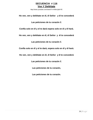### **SECUENCIA # 116 Ven Y Deléitate**

http://www.youtube.com/watch?v=6A8v1jb8-PE

**Ho ven, ven y deléitate en él, él Señor y él te concederá**

**Las peticiones de tu corazón //.**

**Confía solo en él y el te dará espera solo en él y él hará.**

**Ho ven, ven y deléitate en él, él Señor y él te concederá**

**Las peticiones de tu corazón //.**

**Confía solo en él y el te dará, espera solo en él y él hará.**

**Ho ven, ven y deléitate en él, él Señor y él te concederá**

**Las peticiones de tu corazón //.**

**Las peticiones de tu corazón,**

**Las peticiones de tu corazón.**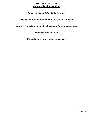# **SECUENCIA # 118 Canta, Oh Hija De Sion**

**Canta, Ho hija de Sión, Grita Ho Israel** 

**Gózate y alégrate de todo corazón, Ho hija de Jerusalén.**

**Jehová ha apartado tus juicios, ha echado fuera tus enemigos**

**Jehová es Rey de Israel**

**En medio de ti Nunca mas veras el mal.**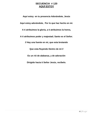## **SECUENCIA # 120 AQUÍ ESTOY**

**Aquí estoy en tu presencia Adorándote, Jesús**

**Aquí estoy adorándote, Por lo que haz hecho en mí.**

**A ti atribuimos la gloria, a ti atribuimos la honra,**

**A ti atribuimos poder y majestad; Santo es el Señor.**

**// Hay una fuente en mi, que esta brotando**

**Que esta fluyendo Dentro de mí //**

**Es un rió de alabanza, y de adoración**

**Dirigido hacia ti Señor Jesús, recíbelo.**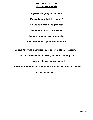## **SECUENCIA # 123 El Grito De Alegría**

**El grito de alegría y de salvación Esta en la morada de los justos // La mano del Señor tiene gran poder la mano del Señor poderosa es la mano del Señor tiene gran poder Viviré cantando las grandezas del Señor.**

**Es tuya Jehová la magnificencia; el poder, la gloria y la victoria //**

**Las cosas que hay en los cielos y en la tierra son tuyas //**

**Las riquezas y la gloria, proceden de ti**

**Y sobre todo dominas, en tu mano esta la fuerza y el poder Y el hacer**

**Lai, lai, lai, lai, lai, lai.**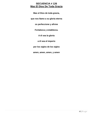# **SECUENCIA # 126 Mas El Dios De Toda Gracia**

**Mas el Dios de toda gracia,**

**que nos llamo a su gloria eterna**

**os perfeccione y afirme**

**Fortalezca y establezca.**

**A él sea la gloria**

**a él sea el imperio**

**por los siglos de los siglos**

**amen, amen, amen, y amen**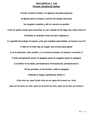#### **SECUENCIA # 128 Pronto Vendrá El Señor**

**Pronto vendrá el Señor, su iglesia a levantar gloriosa la iglesia que el compro a precio de sangre preciosa los ángeles vendrán y allí se reunirá su pueblo // ahí yo quiero estar para escuchar su voz cuando él me diga ven, buen siervo // // Estarás tu velando como las diez vírgenes // // y aquella hora llegó el esposo y las que estaban apercibidas se fueron con él // // Allá en el cielo hay un hogar una corona para ganar si tu te duermes, otro vendrá y tu corona la tomara, la tomara, la tomara. // // Este avivamiento quien lo apagara quien lo apagara quien lo apagara si el Señor lo ha dado, permanecerá, Permanecerá, permanecerá //. Ni las pruebas, ni las luchas, nada lo apagara // Manda el fuego santifícame Señor //. // No vivo yo, mas Cristo vive en mi, para mí el morir es vivir, para mí el morir es vivir, para mí el morir es vivir, para mí el vivir es Cristo.//**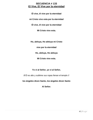# **SECUENCIA # 133 El Vive, El Vive por la eternidad**

**Él vive, él vive por la eternidad**

**mi Cristo vivo esta por la eternidad**

**Él vive, él vive por la eternidad**

**Mi Cristo vivo esta.**

**Ho, aleluya, Ho aleluya mi Cristo**

**vive por la eternidad**

**Ho, aleluya, Ho aleluya**

**Mi Cristo vivo esta.**

#### **Yo vi al Señor, yo vi al Señor,**

**//** Él es alto y sublime sus ropas llenan el templo //

**los ángeles dicen Santo, los ángeles dicen Santo** 

**Al Señor.**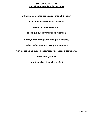# **SECUENCIA # 135 Hay Momentos Tan Especiales**

**// Hay momentos tan especiales junto a ti Señor //**

**En los que puedo sentir tu presencia**

**en los que puedo recostarme en ti**

**en los que puedo yo tomar de tu amor //**

**Señor, Señor eres grande mas que los cielos,**

**Señor, Señor eres alto mas que las nubes //**

**Aun los cielos no pueden sostenerte, ni el espacio contenerte,** 

**Señor eres grande //**

**y por todas las edades los serás //.**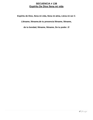# **SECUENCIA # 138 Espíritu De Dios llena mi vida**

**Espíritu de Dios, llena mi vida, llena mi alma, Llena mi ser //.**

**Lléname, lléname;de tu presencia lléname, lléname,**

**de tu bondad, lléname, lléname, De tu poder. ///**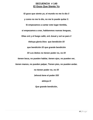# **SECUENCIA # 140 El Gozo Que Siento Yo**

**El gozo que siento yo, el mundo no me lo dio // y como no me lo dio, no me lo puede quitar //. Si empezamos a cantar este lugar tiembla, si empezamos a orar, hablaremos nuevas lenguas, Elías oró y el fuego calló, oró Josué y sol se paro // Aleluya gloria Dios que bendición //// que bendición //// que grande bendición //// Los ídolos no tienen poder no, no //// tienen boca, no pueden hablar, tienen ojos, no pueden ver, tienen manos, no pueden palpar, Tienen pies, no pueden andar. no tienen poder no, no //// Jehová tiene el poder ////// aleluya ///**

**Que grande bendición,**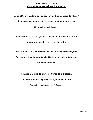#### **SECUENCIA # 143 Con Mi Dios yo saltare los muros**

**Con mi Dios yo saltare los muros, con mi Dios ejércitos derribare //**

**Él adiestra mis manos para la batalla, puedo tomar con mis**

**Manos el arco de bronce.**

**Él es escudo la roca mía, él es la fuerza de mi salvación mi alto refugio y mi fortaleza él es mi Libertador.**

**Haz cambiado mi lamento en baile, me ceñiste todo de alegría // Por tanto, a ti cantare gloria mía, Gloria mía. y solo a ti danzare Gloria mía, gloria mía.**

**Ho Adonai // Dios del universo Señor de la creación.**

**los cielos cuentan tu gloria, tus hijos hoy te adoran**

**Por todas tus maravillas // Adonai.**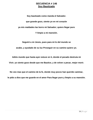#### **SECUENCIA # 146 Soy Bautizado**

**Soy bautizado como manda el Salvador. que grande gozo, siento yo en mi corazón ya mis maldades las borro mi Salvador; quiero llegar puro Y limpio a mi mansión.**

**Seguiré a mi Jesús, pues para mi lo del mundo se acabo, y ayudado de su luz Proseguir en su camino quiero yo.**

**Adiós mundo que hasta ayer estuve en ti, donde el pecado destruía mi Vivir; yo siento gozo desde que me Bautice, y de volver a pecar, mejor morir.**

**No veo mas que el camino de la fe, donde muy pocos han querido caminar, le pido a dios que me guarde en el amor Para llegar puro y limpio a su mansión.**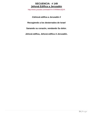### **SECUENCIA: # 149 Jehová Edifica a Jerusalén**

<http://www.youtube.com/watch?v=VVR9NimJQVA>

**//Jehová edifica a Jerusalén //**

**Recogiendo a los desterrados de Israel**

**Sanando su corazón, vendando Su dolor.**

**Jehová edifica, Jehová edifica A Jerusalén.**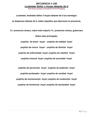# **SECUENCIA # 150 Levántate Señor y huyan delante de ti**

<http://www.youtube.com/watch?v=PUVYR7qg2hg>

**Levántate, levántate Señor // huyan delante de ti tus enemigos se dispersen delante de ti, todos Aquellos que aborrecen tu presencia.**

**Tu presencia reinara, sobre todo imperio Tu presencia reinara, gobernara Sobre todo principado.**

**¡espíritu de temor huye! - ¡espíritu de maldad huye!**

**¡espíritu de rencor huye! - ¡espíritu de división huye!**

**¡espíritu de enfermedad huye! ¡espíritu de rebelión huye!**

**¡espíritu inmoral huye! ¡espíritu de oscuridad huye!**

**¡espíritu de perversión huye! ¡espíritu de ambición huye! ¡espíritu profanador huye! ¡espíritu de vanidad huye! ¡espíritu de murmuración huye! ¡espíritu de contención huye! ¡espíritu de hechicería huye! ¡espíritu de mortandad huye!**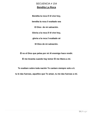# SECUENCIA # 154 **Bendita La Roca**

**Bendita la roca /// él vive hoy,**

**bendita la roca // exaltado sea**

**El Dios de mi salvación.**

**Gloria a la roca /// él vive hoy,**

**gloria a la roca // exaltado sé**

**El Dios de mi salvación.**

**Él es el Dios que pelea por mí Al enemigo hace rendir.**

**Él me levanta cuando hay temor Él me libera a mí.**

**Te exaltare sobre toda nación Te cantare siempre solo a ti.**

**tu le das fuerzas, aquellos que Te aman, tu me das fuerzas a mí.**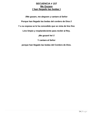## **SECUENCIA # 157 Me Gozare ( han llegado las bodas )**

**//Me gozare, me alegrare y cantare al Señor Porque han llegado las bodas del cordero de Dios // Y a su esposa se le ha concedido que se vista de lino fino Lino limpio y resplandeciente para recibir al Rey. ¡Me gozaré he! // Y cantare al Señor**

**porque han llegado las bodas del Cordero de Dios.**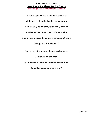# **SECUENCIA # 160 Será Llena La Tierra De Su Gloria**

<http://www.youtube.com/watch?v=yQ1i8NchWGY>

**Alza tus ojos y mira, la cosecha esta lista el tiempo ha llegado, la mies esta madura Esfuérzate y sé valiente, levántate y predica a todas las naciones, Que Cristo es la vida Y será llena la tierra de su gloria y se cubrirá como las aguas cubren la mar // No, no hay otro nombre dado a los hombres**

**Jesucristo es el Señor.**

**y será llena la tierra de su gloria y se cubrirá** 

**Como las aguas cubren la mar //**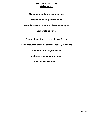## **SECUENCIA # 163 Majestuoso**

**Majestuoso poderoso digno de loor**

**proclamemos su grandeza hoy //**

**Jesucristo es Rey postrados hoy ante sus pies**

**Jesucristo es Rey //**

**Digno, digno, digno** es el cordero de Dios //

**eres Santo, eres digno de tomar el poder y el honor //**

**Eres Santo, eres digno, Ho, Ho**

**de tomar la alabanza y el honor**

**La alabanza y el honor ///**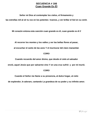# **SECUENCIA # 166 Cuan Grande Es Él**

**Señor mi Dios al contemplar los cielos, el firmamento y**

**las estrellas mil al oír tu voz en los potentes truenos, y ver brillar el Sol en su cenit.**

**Mi corazón entona esta canción cuan grande es él, cuan grande es él //**

**Al recorrer los montes y los valles y ver las bellas flores al pasar,**

**al escuchar el canto de las aves Y el murmurar del claro manantial.**

#### **CORO**

**Cuando recuerdo del amor divino, que desde el cielo al salvador**

**envió, aquel Jesús que por salvarme vino Y en una cruz sufrió y por mí murió.**

#### **CORO**

**Cuando el Señor me llame a su presencia, al dulce hogar, al cielo**

**de esplendor, le adorare, cantando La grandeza de su poder y su infinito amor.**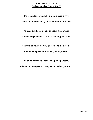# **SECUENCIA # 171 Quiero Andar Cerca De Ti**

**Quiero andar cerca de ti, junto a ti quiero vivir quiero estar cerca de ti, Junto a ti Señor, junto a ti.**

**Aunque débil soy, Señor, tu poder me da valor**

**satisfecho yo estaré si tu estas Señor, junto a mi.**

**A través del mundo cruel, quiero serte siempre fiel quien mi culpa llevara Solo tu, Señor, solo tu.**

**Cuando ya mi débil ser cese aquí de padecer,**

**déjame mi buen pastor, Que yo este, Señor, junto a ti.**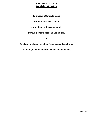# **SECUENCIA # 173 Te Alabo Mi Señor**

**Te alabo, mi Señor, te alabo**

**porque tú eres todo para mi**

**porque junto a ti voy caminando**

**Porque siento tu presencia en mi ser.**

#### **CORO:**

**Te alabo, te alabo, y mi alma, No se cansa de alabarte.**

**Te alabo, te alabo Mientras vida exista en mi ser.**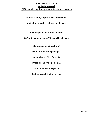#### **SECUENCIA # 175 A Su Majestad ( Dios esta aquí su presencia siento en mi )**

**Dios esta aquí, su presencia siento en mi**

**dadle honra, poder y gloria, Ho aleluya.**

**A su majestad yo alzo mis manos**

**Señor te alabo te adoro Y te amo Ho, aleluya.**

**Su nombre es admirable ///**

**Padre eterno Príncipe de paz**

**su nombre es Dios fuerte ///**

**Padre eterno Príncipe de paz**

**su nombre es consejero ///**

**Padre eterno Príncipe de paz.**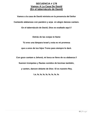# **SECUENCIA # 178 Vamos A La Casa De David (En el tabernáculo de David)**

**Vamos a la casa de David ministra en la presencia del Señor**

**Cantando alabanzas con pandero y arpa en alegre danzas cantare.**

**En el tabernáculo de David, Dios es exaltado aquí //**

**Detrás de las ovejas te llame**

**Tú eres una lámpara Israel y esta es mi promesa**

**que a unos de tus hijos Trono para siempre le daré.**

**Con gozo cantare a Jehová, mi boca se lleno de su alabanza //**

**Suenen trompetas y flautas sonidos de bocinas también,**

**y canten, dancen delante de Dios El es nuestro Rey.**

**La, la, la, la, la, la, la, la, la.**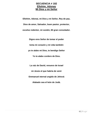# **SECUENCIA # 182 Ellohim, Adonay Mi Dios y mi Señor**

**Ellohim, Adonai, mi Dios y mi Señor, Rey de paz, Dios de amor, Salvador, buen pastor, protector, excelso redentor, mi sostén, Mi gran consolador.**

> **Digno eres Señor de tomar el poder toma mi corazón y mi vida también yo te alabo mi Dios, te bendigo Señor Yo te alabo cordero de Dios.**

**La raíz de David, renuevo de Israel mi Jesús el que habría de venir Emmanuel eternal ungido de Jehová Alabado sea el león de Judá.**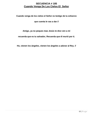# **SECUENCIA # 185 Cuando Venga De Los Cielos El Señor**

**Cuando venga de los cielos el Señor es testigo de tu esfuerzo**

**que cuenta le vas a dar //**

**Amigo, ya no peques mas Jesús te dice ven a mí**

**recuerda que es tu salvador, Recuerda que él murió por ti.**

**Ho, vienen los ángeles, vienen los ángeles a adorar al Rey. //**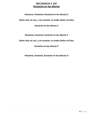# **SECUENCIA # 187 Hosanna en las alturas**

**Hosanna, Hosanna, Hosanna en las alturas //**

**Señor alzo mi voz, y mi corazón, te exalto Señor mi Dios**

**hosanna en las alturas //**

**Hosanna, hosanna, hosanna en las alturas //**

**Señor alzo mi voz, y mi corazón, te exalto Señor mi Dios**

**Hosanna en las alturas //**

**Hosanna, hosanna, hosanna en las alturas ///**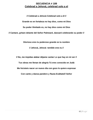# **SECUENCIA # 189 Celebrad a Jehová, celebrad solo a el**

**// Celebrad a Jehová Celebrad solo a él //**

**Grande es en fortaleza no hay dios, como mi Dios**

**Su poder ilimitado es, no hay dios como mi Dios**

**// Cantare, gritare delante del Señor Palmearé, danzaré celebrando su poder //**

**Glorioso eres tu poderoso grande es tu nombre**

**// Jehová, Jehová temible eres tu //**

**// No, me impidas alabar déjame cantar Lo que hay en mi ser // Tus obras me llenan de alegría Tú eres conocido en Judá Me hicisteis nacer un nuevo día con gozo lo quiero expresar Con canto y danza pandero y flauta Exáltate/// Señor**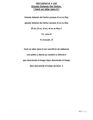# **SECUENCIA # 192 Gózate Delante Del Señor, ( haré un altar para ti )**

**Gózate delante del Señor porque él es tu Rey**

**gózate delante del Señor porque él es tu Rey**

**Él es, él es, él es, él es tu Rey //**

**Tu roca ///**

**Tu escudo. ///**

**haré un altar para ti con sacrificio de alabanza**

**con jubilo y danza yo cantare a Jehová //**

**que descienda el fuego //que descienda el fuego**

**Que descienda el fuego de Dios. //**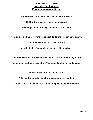# **SECUENCIA # 195 Vestido De Lino Fino El rey preparo una fiesta**

**El Rey preparo una fiesta pero muchos se excusaron**

**El Rey dijo a sus siervos id por la ciudad**

**traed al que encuentres Que la fiesta va empezar. //**

**Vestido de lino fino el Rey me vistió Vestido de lino fino sin ser digno yo**

**Vestido de lino fino a la fiesta entrare**

**Vestido de lino fino con instrumentos al Rey alabare,**

**Vestido de lino fino al Rey salmeare Vestido de lino fino me regocijare**

**Vestido de lino fino al rey alabare Vestido de lino fino al rey danzare.**

**\\Te exaltamos, Jehová nuestro Dios //**

**// Tu nombre grande y temible alabamos, tú eres santo //**

**Cantad a Dios con alabanza, // Cantad con gozo delante del Señor //**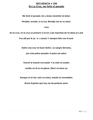## **SECUENCIA # 199 En La Cruz, me hirió el pecado**

**Me hirió el pecado, fui a Jesús mostréle mi dolor;**

**Perdido, errante, vi su luz, Bendijo me en su amor.**

**coro**

**En la cruz, en la cruz yo primero vi la luz y las manchas de mi alma yo Lavé**

**Fue allí por fe yo vi a Jesús Y siempre feliz con él seré.**

**Sobre una cruz mi buen Señor, su sangre derramo,**

**por este pobre pecador A quien así salvo.**

**Venció la muerte con poder Y al cielo se exalto;**

**confiar en él es mi placer, Morir no temo yo.**

**Aunque el se fue, solo no estoy, mando al consolador,**

**divino Espíritu que hoy me da perfecto amor.**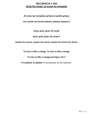## **SECUENCIA # 202 Grita Ho Israel, al sonar la trompeta**

**Al sonar las trompetas gritara el pueblo gritara**

**con sonido de bocina peleara, peleara, peleara //**

**Grita, grita, grita, Ho Israel**

**grita, grita, grita, Ho Israel //**

**caerán los muros, caerán los muros caerán los muros de Jericó.**

**Tú eres el alfa y omega, Tú eres el alfa y omega**

**Tú eres el alfa y omega principio y fin //**

**Té exaltaré, te alabaré** Te proclamare en las naciones.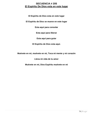# **SECUENCIA # 205 El Espíritu De Dios esta en este lugar**

**El Espíritu de Dios esta en este lugar**

**El Espíritu de Dios se mueve en este lugar**

**Esta aquí para consolar**

**Esta aquí para liberar**

**Esta aquí para guiar**

**El Espíritu de Dios esta aquí.**

**Muévete en mi, muévete en mi, Toca mi mente y mi corazón**

**Llena mi vida de tu amor**

**Muévete en mi, Dios Espíritu muévete en mi**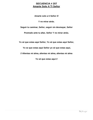# **SECUENCIA # 207 Amarte Solo A Ti Señor**

**Amarte solo a ti Señor ///**

**Y no mirar atrás.**

**Seguir tu caminar, Señor, seguir sin desmayar, Señor**

**Postrado ante tu altar, Señor Y no mirar atrás.**

**Yo sé que estas aquí Señor, Yo sé que estas aquí Señor,**

**Yo se que estas aquí Señor yo sé que estas aquí,** 

**// Alientas mi alma, alientas mi alma, alientas mi alma**

**Yo sé que estas aquí //**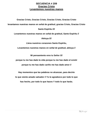## **SECUENCIA # 209 Gracias Cristo Levantemos nuestras manos**

**Gracias Cristo, Gracias Cristo, Gracias Cristo, Gracias Cristo levantamos nuestras manos en señal de gratitud, gracias Cristo, Gracias Cristo**

**Santo Espíritu ////**

**Levantemos nuestras manos en señal de gratitud, Santo Espíritu //**

**Aleluya ////**

**Llena nuestros corazones Santo Espíritu,**

**Levantemos nuestras manos en señal de gratitud, aleluya //**

**Mi pensamiento eres tu Señor ////**

**porque tu me has dado la vida porque tu me has dado el existir**

**porque tu me has dado cariño me has dado amor //**

**Hay momentos que las palabras no alcanzan, para decirte lo que siento amado salvador // Yo te agradezco por todo lo que has hecho, por todo lo que haces Y todo lo que harás.**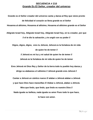# **SECUENCIA # 210 Grande Es El Señor, creador del universo**

**Grande es el Señor creador del universo canta y danza al Rey que viene pronto de felicidad el corazón se llena grande es el Señor**

**Hosanna al altísimo, Hosanna al altísimo, Hosanna al altísimo grande es el Señor**

**Alégrate Israel hey, Alégrate Israel hey, Alégrate Israel hey, en tu creador, por que // el te dio la salvación, y te ungió con su poder //**

**Digno, digno, digno, eres tu Jehová, Jehová es la fortaleza de mi vida de quien he de temer // // Jehová es mi luz y mi salud de quien he de temer // Jehová es la fortaleza de mi vida de quien he de temer**

**Eres Jehová mi Dios Rey y Señor de la tierra todo tu pueblo hoy danza y dirige su alabanza a ti altísimo // Jehová grande eres Jehová //**

**Cantar a Jehová un cántico nuevo /// alabar a Jehová alabar a Jehová**

**y que hace Dios hace maravillas /// Alabar a Jehová, alabar a Jehová.**

**Mira que lindo, que lindo, que lindo es nuestro Dios // Nada iguala su belleza, nada iguala su amor Pues todo lo que hace, lo hace con amor.**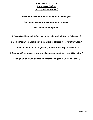# **SECUENCIA # 214 Levántate Señor ( al rey mi salvador )**

**Levántate, levántate Señor y caigan tus enemigos**

**los justos se alegraran cantaran con regocijo**

**Has triunfado con poder.**

**// Como David ante el Señor danzaré y celebraré al Rey mi Salvador //**

**// Como María yo danzaré con el pandero le alabaré al Rey mi Salvador //**

**// Como Josué ante Jericó gritare y le exaltare al Rey mi salvador //**

**// Como Judá yo guerrero soy con alabanza yo serviré al rey mi Salvador //**

**// Vengo a ti ahora en adoración cantare con gozo a Cristo el Señor //**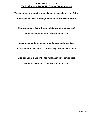### **SECUENCIA # 217 Te Exaltamos Sobre Un Trono De Alabanza**

**Te exaltamos sobre un trono de alabanza, te exaltamos Ho, Señor**

**nuestras alabanzas subirán, delante de tu trono Ho, Señor //**

**Olor fragante a ti Señor honor y alabanza por siempre daré**

**al que esta sentado sobre El trono de mi Dios.**

**Majestuosamente reinas sin igual Tú eres poderoso Dios te proclamaré, te exaltaré Tú eres el Rey sobre mi corazón //**

**Olor fragante a ti Señor honor y alabanza por siempre daré al que esta sentado sobre El trono de mi Dios.**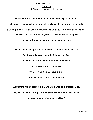# **SECUENCIA # 220 Salmo 1 ( Bienaventurado el varón)**

**Bienaventurado el varón que no anduvo en consejo de los malos ni estuvo en camino de pecadores ni en sillas de los falsos se a sentado /// // Si no que en la ley, de Jehová esta su delicia y en su ley medita de noche y de día, será como árbol plantado junto a las corrientes de las aguas que da su fruto a su tiempo y su hoja, nunca cae // No así los malos, que son como el tamo que arrebata el viento // Celebrare y danzare cantando Salmos a mi Dios a Jehová el Dios Altísimo poderoso en batalla // Me gozare y gritare cantando Salmos a mi Dios a Jehová el Dios Altísimo Jehová Dios de los dioses //**

**//Jesucristo reina gustad sus maravillas a través de la creación // hey Tuyo es Jesús el poder y honor la gloria y la victoria tuyo es Jesús el poder y honor // solo tú eres Rey //**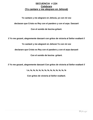## **SECUENCIA # 224 Celebrare (Yo cantare y me alegrare en Jehová)**

**Yo cantare y me alegrare en Jehová, yo con mi voz**

**declarare que Cristo es Rey con el pandero y con el arpa Danzaré**

**Con el sonido de bocina gritaré.**

**// Yo me gozaré, alegremente danzaré con gritos de victoria al Señor exaltaré //**

**Yo cantaré y me alegraré en Jehová Yo con mi voz**

**declarare que Cristo es Rey con el pandero y con el arpa danzaré**

**Con el sonido de bocina gritaré.**

**// Yo me gozaré, alegremente danzaré Con gritos de victoria al Señor exaltaré //**

**La, la, la, la, la, la, la, la, la, la, la, la, la, la**

**Con gritos de victoria al Señor exaltaré.**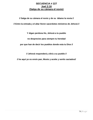### **SECUENCIA # 227 Joel 2:16 (Salga de su cámara el novio)**

**// Salga de su cámara el novio y de su tálamo la novia //**

**// Entre la entrada y el altar lloren sacerdotes ministros de Jehová //**

**Y digan perdona Ho, Jehová a tu pueblo**

**no desprecies para siempre tu heredad**

**por que han de decir los pueblos donde esta tu Dios //**

**// Jehová responderá y dirá a su pueblo //**

**// he aquí yo os envío pan, Mosto y aceite y seréis saciados//**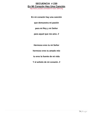# **SECUENCIA # 230 En Mi Corazón Hay Una Canción**

<http://www.youtube.com/watch?v=oGO-JbNTsFg>

**En mi corazón hay una canción**

**que demuestra mi pasión**

**para mi Rey y mi Señor**

**para aquel que me amo. //**

**Hermoso eres tu mi Señor**

**hermoso eres tu amado mío**

**tu eres la fuente de mi vida**

**Y el anhelo de mi corazón. //**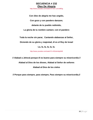#### **SECUENCIA # 232 Óleo De Alegría** <http://www.youtube.com/watch?v=DC-LeUvd9Dg>

**Con óleo de alegría me has ungido, Con gozo y con pandero danzare; delante de tu pueblo redimido,**

**La gloria de tu nombre cantare; con el pandero**

**Toda la noche sin parar, Cantando alabanzas al Señor,** 

**Diciendo de su gloria y majestad, él es el Rey de Israel**

**La, la, la, la, la, la.**

<http://www.youtube.com/watch?v=NOwImdju948>

**// Alabad a Jehová porque él es bueno para siempre su misericordia //**

**Alabad al Dios de los dioses, Alabad al Señor de señores**

**Alabad al Dios de los cielos**

**// Porque para siempre, para siempre, Para siempre su misericordia.//**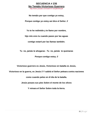# **SECUENCIA # 235 No Temáis-Victorioso Guerrero**

<http://www.youtube.com/watch?v=2IzQBO0SsyM>

**No temáis por que contigo yo estoy,**

**Porque contigo yo estoy así dice el Señor. //**

**Yo te he redimido y te llamo por nombre,**

**hijo mío eres tu cuando pases por las aguas**

**contigo estaré por las llamas también.**

**Tu no, jamás te ahogaras - Tu no, jamás te quemaras**

**Porque contigo estoy. //**

**Victorioso guerrero es Jesús, Victorioso en batalla es Jesús,**

**Victorioso en la guerra, es Jesús // Y saldrá el Señor peleara contra naciones**

**como cuando peleo en él día de la batalla.**

**Jesús posara sus pies Sobre el monte de los olivos**

**Y reinara el Señor Sobre toda la tierra.**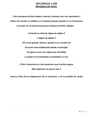# **SECUENCIA # 238 Moradora De Sion-**

**// Ho moradora de Sion alaba a Jehová, Grandes son sus maravillas // Sobre los montes y collados a mi amado buscare grande es su hermosura**

**y al estar en su presencia gozoso danzare al Señor alabare**

**// Grande es Jehová, digno de alabar //**

**// digno de alabar //**

**///Tú eres grande Jehová grande es tu nombre ////**

**Su trono esta establecido desde el principio**

**Su gloria es por los siglos por eternidad**

**La gente se ha levantado a levantado su voz.**

**// Pero Jesucristo es más poderoso que muchas aguas**

**Más poderoso es que el mar //**

**Jesús es Rey, El es majestuoso, Él es victorioso y se ha vestido de poder**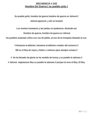# **SECUENCIA # 242 Hombre De Guerra ( su pueblo grito )**

**Su pueblo gritó, hombre de guerra hombre de guerra es Jehová // Jehová apareció, y ahí se levantó**

**Los montes humearon y las peñas se quebraron, diciendo así**

**Hombre de guerra, hombre de guerra es Jehová**

**Ho pueblos aclamad a Dios con voz de júbilo, al son de la trompeta Alzando la voz.**

**\\ Hosanna al altísimo, Hosanna al altísimo creador del universo //**

**\\Él es el Rey de reyes y Señor e señores para siempre reinara //**

**// Se ha llenado de gloria se ha vestido de honra y su pueblo le adorara // // Jehová majestuoso Rey su pueblo le adorara // porque tú eres el Rey, El Rey**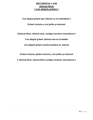# **SECUENCIA # 245 Jehová Nissi ( con alegría gritare )**

**Con alegría gritaré que Jehová es mi estandarte //**

**Gritaré victoria y con jubilo yo danzaré**

**//Jehová Nissi, Jehová nissi, contigo seremos vencedores //**

**Con alegría gritaré Jehová esta en la batalla**

**con alegría gritaré nuestra bandera es Jehová**

**Gritaré victoria, gritaré victoria y con jubilo yo danzaré**

**// Jehová Nissi, Jehová Nissi contigo seremos vencedores //**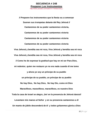# **SECUENCIA # 248 Preparen Los Instrumentos**

[http://www.youtube.com/watch?v=YlONuFZmd\\_I](http://www.youtube.com/watch?v=YlONuFZmd_I)

**// Preparen los instrumentos que la fiesta va a comenzar Suenen sus trompetas delante del Rey Jehová // Cantaremos de su poder cantaremos victoria, Cantaremos de su poder cantaremos victoria Cantaremos de su poder cantaremos victoria Cantaremos de su poder cantaremos victoria Viva Jehová y bendita sea mi roca, Viva Jehová y bendita sea mi roca Viva Jehová y bendita sea mi roca, Viva Jehová y bendita sea mi roca // Como he de expresar la gratitud que hay en mi ser Para Dios, mi redentor, quien me restauro yo no era nada cuando él me tomo y ahora yo soy un príncipe de su pueblo un príncipe de su pueblo, un príncipe de su pueblo No hay Dios, No hay Dios, No hay Dio, como mi Dios Maravilloso, maravilloso, maravilloso, es nuestro Dios Toda la casa de Israel se alegro, ¡he! en la presencia de Jehová danzo// Levantare mis manos al Señor y en su presencia cantaremos a él Un manto de júbilo descenderá de él y todos gritaremos gloria a Dios**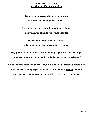# **SECUENCIA # 252 En Ti ( confía mi corazón )**

**En ti confía mi corazón En ti confía mi alma mi ser descansa en ti puedo ser feliz //**

**Por que sé que estas obrando tu perfecta voluntad**

**en mi vida estas obrando tu perfecta voluntad /**

**No hay nada mejor que estar contigo, No hay nada mejor que buscar de tu presencia //**

**Hoy quiebro mi alabastro lo derramo ante ti y el perfume llena este lugar que suba este aroma con un cántico a ti mi Cristo mi Rey mi salvador //**

**En lo suave de tu presencia quiero vivir, En lo suave de tu presencia quiero morar**

**Y permanecer el tiempo que sea necesario, hasta que te Formes tú en mi.**

**Y permanecer el tiempo que sea necesario, hasta que te veas solo tu**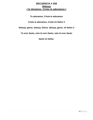# **SECUENCIA # 256 Aleluya ( te doramos, Cristo te adoramos )**

**Te adoramos, Cristo te adoramos**

**Cristo te adoramos, Cristo mi Señor //**

**Aleluya, gloria aleluya, Gloria aleluya, gloria mi Señor //**

**Tú eres Santo, solo tú eres Santo, solo tú eres Santo**

**Santo mi Señor.**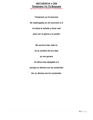# **SECUENCIA # 258 Temprano Yo Te Buscare**

<http://www.youtube.com/watch?v=isTBiSJbWmY>

**Temprano yo te buscare**

**de madrugada yo me acercare a ti**

**mi alma te anhela y tiene sed**

**para ver tu gloria y tu poder**

**Mi socorro has sido tu**

**en la sombra de tus alas**

**yo me gozare**

**mi alma esta apegada a ti**

**porque tu diestra me ha sostenido**

**Ho, tu diestra me ha sostenido.**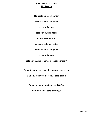### **SECUENCIA # 260 No Basta**

**No basta solo con cantar**

**No basta solo con decir** 

**no es suficiente**

**solo con querer hacer** 

**es necesario morir**

**No basta solo con soñar**

**No basta solo con pedir** 

**no es suficiente**

**solo con querer tener es necesario morir //**

**Dame tu vida, esa clase de vida que sabes dar** 

**Dame tu vida yo quiero vivir solo para ti**

**Dame tu vida resucítame en ti Señor**

**yo quiero vivir solo para ti ////**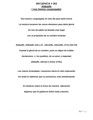# **SECUENCIA # 263 Alabadle ( nos hemos congregado)**

**Nos hemos congregado en este día para darle honra La música tocamos las voces elevamos para darle gloria Un son de jubilo ha llenado este lugar con el propósito de su nombre levantar Alabadle, Alabadle solo a él. adoradle, Adoradle, el ha sido fiel Cantad la gloria de su nombre, pues es digno de exaltar**

**declaremos a los pueblos, de su amor y majestad**

**alabadle, adorad a Jesús el Rey**

**Las manos levantadas, corazones hacia el cielo esperando sin duda lo sabemos que su presencia, esta manifestando**

**Al sentarse sobre el trono de nuestra adoración dejamos que él gobierne Sobre toda creación.**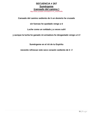# **SECUENCIA # 267 Sumérgeme (cansado del camino )**

[http://www.youtube.com/watch?v=5\\_mt32IXhRk](http://www.youtube.com/watch?v=5_mt32IXhRk)

**Cansado del camino sediento de ti un desierto he cruzado**

#### **sin fuerzas he quedado vengo a ti**

**Luche como un soldado y a veces sufrí**

**y aunque la lucha he ganado mi armadura he desgastado vengo a ti //**

**Sumérgeme en el rió de tu Espíritu**

**necesito refrescar este seco corazón sediento de ti //**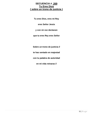# **SECUENCIA # 269 Tu Eres Dios ( sobre un trono de justicia )**

**Tu eres Dios, eres mi Rey**

**eres Señor Jesús**

**y con mi voz declarare**

**que tu eres Rey eres Señor**

**Sobre un trono de justicia //**

**te has sentado en majestad**

**con tu palabra de autoridad**

**en mi vida reinaras //**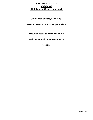# **SECUENCIA # 270 Celebrad ( Celebrad a Cristo celebrad )**

**// Celebrad a Cristo, celebrad //**

**Resucito, resucito y por siempre el vivirá**

**Resucito, resucito venid y celebrad**

**venid y celebrad, que nuestro Señor**

**Resucitó.**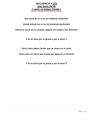#### **SECUENCIA # 272 Que Seria De Mí ( como un pájaro herido )** <http://www.youtube.com/watch?v=y0ci-Bv5KsQ>

#### **Que seria de mí si no me hubieras alcanzado**

#### **donde estaría hoy si no me hubieras perdonado**

**habría un vació en mi corazón vagaría sin rumbo y sin dirección**

**// Si no fuera por tu gracia y por tu amor //**

#### **Seria como pájaro herido que se muere en el suelo**

**seria como un siervo que brama por agua en un desierto**

**// Si no fuera por tu gracia y por tu amor //**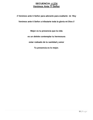# **SECUENCIA: # 274 Venimos Ante Ti Señor**

**// Venimos ante ti Señor para adorarte para exaltarte mi Rey**

**Venimos ante ti Señor a tributarte toda la gloria mi Dios //**

**Mejor es tu presencia que la vida**

**es un deleite contemplar tu hermosura**

**estar rodeado de tu santidad y amor**

**Tu presencia es lo mejor.**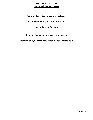# **SECUENCIA # 276 Ven A Mi Señor Jesús**

**Ven a mi Señor Jesús, ven a mi Salvador**

**ven a mi corazón yo te amo, Ho Señor**

**yo te anhelo mi Salvador**

**llena mi alma de amor tú eres todo para mí**

**Lléname de ti, lléname de tu amor, Señor lléname de ti**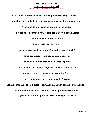**SECUENCIA # 278 El Poderoso De Israel**

http://www.youtube.com/watch?v=JROF12jPECE

**Y de noche cantaremos celebrando su poder, con alegría de corazón como el que va con la flauta al monte de Jehová celebraremos su poder. Y los ojos de los ciegos se abrirán y ellos verán, los oídos de los sordos oirán, el cojo saltara con el arpa danzara la Lengua de los mudos, cantara. Él es el poderoso, de Israel // su voz se oirá, nadie lo detendrá al poderoso de Israel // no es con ejercito, mas con su santo Espíritu, no es con ejercito, mas con su santo Espíritu Y los montes caerán y los ciegos verán y los sordos oirán no es con ejercito, mas con su santo Espíritu, no es con ejercito, mas con su santo Espíritu Canta de su gran poder, la tierra entera alabe al Señor, canta de su gran poder La tierra entera alabe a su Señor, porque grande es Dios, Hey Digno de alabar, Hey grande es Dios, Hey digno de alabar**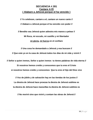## **SECUENCIA # 281 Cantare A Él ( Alabare a Jehová porque el ha vencido )**

**// Yo celebrare, cantare a el, cantare un nuevo canto // // Alabare a Jehová porque el ha vencido con poder //**

**// Bendito sea Jehová quien adiestra mis manos a pelear // Mi Roca, mi escudo, mi castillo y mi libertador mi gloria, mi fuerza en el confiare**

**// Una cosa he demandado a Jehová y esa buscare //**

**// Que este yo en la casa de Jehová todos los días de mi vida y viviré //**

**// Señor a quien iremos, Señor a quien iremos tu tienes palabras de vida eterna //**

**Si nosotros hemos creído y conocemos que tu eres el Cristo si nosotros hemos creído y conocemos Que tu eres el hijo del Dios vivo**

**// Voz de júbilo y de salvación hay en las tiendas de los justos // La diestra de Jehová hace proezas la diestra de Jehová sublime es la diestra de Jehová hace maravillas la diestra de Jehová sublime es**

**// No moriré sino que viviré y contare las obras de Jehová //**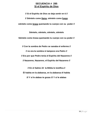## **SECUENCIA # 285 Si el Espíritu de Dios**

**// Si el Espíritu de Dios se deja sentir en ti // // Siéntelo como llama, siéntelo como fuego siéntelo como brasa quemando tu cuerpo con su poder //**

**Siéntelo, siéntelo, siéntelo, siéntelo**

**Siéntelo como brasa quemando tu cuerpo con su poder //**

**// Con la sombra de Pedro se sanaba el enfermo // // no era la sombra ni tampoco era Pedro // // Era por que Pedro tenia el Espíritu del Nazareno // // Nazareno, Nazareno, el Espíritu del Nazareno //**

**// En el Salmo 22 la Biblia lo testifica // Él habita en la alabanza, en la alabanza él habita /// Y sí le alabas te gozas /// Y sí le alabas**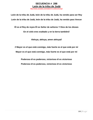**SECUENCIA # 288 León de la tribu de Judá**

http://www.youtube.com/watch?v=LI8mcmUXgrI

**León de la tribu de Judá, león de la tribu de Judá, ha venido para ser Rey León de la tribu de Judá, león de la tribu de Judá, ha venido para Vencer**

**Él es el Rey de reyes Él es Señor de señores Y Dios de los dioses En el cielo eres exaltado y en la tierra también//**

**Aleluya, aleluya, amen aleluya//**

**// Mayor es el que está conmigo, más fuerte es el que está por mí** 

**Mayor es el que está conmigo, más fuerte es el que está por mí** 

**Poderoso él es poderoso, victorioso él es victorioso Poderoso él es poderoso, victorioso él es victorioso**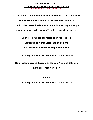# **SECUENCIA # 291 YO QUIERO ESTAR DONDE TU ESTAS**

[http://www.youtube.com/watch?v=W14mg\\_zQpZc](http://www.youtube.com/watch?v=W14mg_zQpZc)

**Yo solo quiero estar donde tú estás Viviendo diario en tu presencia No quiero darte solo adoración Yo quiero ser adorador Yo solo quiero estar donde tu estás En tu habitación por siempre Llévame al lugar donde tu estas Yo quiero estar donde tu estas**

**Yo quiero estar contigo Morando en tu presencia**

**Comiendo de tu mesa Rodeado de tu gloria**

**En tu presencia Es donde siempre quiero estar**

**Yo solo quiero estar, Yo quiero estar donde tu estas**

**Ho mi Dios, tu eres mi fuerza y mi canción Y aunque débil sea En tu presencia fuerte soy**

**(Final)**

**Yo solo quiero estar, Yo quiero estar donde tu estas**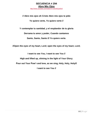# **SECUENCIA # 294 Abre Mis Ojos**

<http://www.youtube.com/watch?v=ZDot5Qyd0z0>

**// Abre mis ojos oh Cristo Abre mis ojos te pido**

**Yo quiero verte, Yo quiero verte //**

**Y contemplar tu santidad, y el resplandor de tu gloria**

**Derrama tu amor y poder, Cuando cantamos**

**Santo, Santo, Santo /// Yo quiero verte.**

**//Open the eyes of my heart, Lord; open the eyes of my heart, Lord;**

**I want to see You, I want to see You //**

**High and lifted up, shining in the light of Your Glory;**

**Pour out Your Pow'r and love, as we sing, Holy, Holy, Holy///**

**I want to see You //**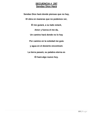# **SECUENCIA # 297 Sendas Dios Hará**

**Sendas Dios hará donde piensas que no hay,**

**El obra en maneras que no podemos ver,**

**Él me guiará, [a](javascript:jsfMostrarID() su lado estaré,**

**Amor y fuerza el me da,**

**Un camino hará donde no lo hay**

**Por camino en la soledad me guía**

**y agua en el desierto encontraré.**

**La tierra pasará, su palabra eterna es**

**Él hará algo nuevo hoy.**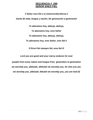# **SECUENCIA # 299 SEÑOR ERES FIEL**

**// Señor eres fiel y tu misericordia Eterna //**

**Gente de toda, lengua y nación, De generación a generación** 

**Te adoramos hoy, aleluya, aleluya,**

**Te adoramos hoy, eres Señor**

**Te adoramos hoy, aleluya, aleluya,**

**Te adoramos hoy, eres Señor, eres fiel //**

**/// Eres Fiel siempre fiel, eres fiel ///**

*Lord you are good and your mercy endures for ever*

*people from every nation and tongue from generation to generation we worship you, alleluiah, alleluiah we worship you, for who you are. we worship you, alleluiah, lleluiah we worship you, you are God (f)*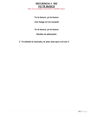#### **SECUENCIA # 302 YO TE BUSCO**

[http://www.youtube.com/watch?v=Zp6OtH\\_RpxU](http://www.youtube.com/watch?v=Zp6OtH_RpxU)

**Yo te busco, yo te busco**

**Con fuego en mi corazón**

**Yo te busco, yo te busco**

**Recibe mi adoración**

**// Te anhelo te necesito, te amo mas que a mi ser //**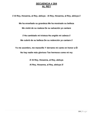# **SECUENCIA # 304 AL REY**

**// Al Rey, Hosanna, al Rey, aleluya - Al Rey, Hosanna, al Rey, aleluya //**

**Me ha enseñado su grandeza Me ha mostrado su belleza**

**Me vistió de su realeza De su salvación yo cantare**

**// Ha cambiado mi tristeza Ha ungido mi cabeza // Me cubrió de su belleza De su redención yo cantare //**

**Yo me asombro, me maravillo Y derramo mi canto en honor a Él No hay nadie más glorioso Tan hermoso como mi rey**

> **/// Al Rey, Hosanna, al Rey, aleluya Al Rey, Hosanna, al Rey, aleluya ///**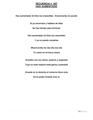# **SECUENCIA # 307 HAS AUMENTADO**

**Has aumentado oh Dios tus maravillas - Enumerarlas no puedo**

**Si yo anunciare y hablare de ellas**

**No hay tiempo para terminar**

**Has aumentado oh Dios tus maravillas**

**Y ya no puedo contarlas**

**Misericordia me das día tras día**

**Tu canto en mi boca estará**

**Grandes son tus obras, poderío y majestad**

**Tuyo es todo imperio toda gloria y potestad**

**Grande es tu dominio el universo lleno esta**

**De tu poder Grande eres tu**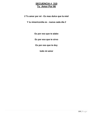# **SECUENCIA # 310 Tu Amor Por Mi**

**// Tu amor por mí - Es mas dulce que la miel**

**Y tu misericordia es - nueva cada día //**

**Es por eso que te alabo**

**Es por eso que te sirvo**

**Es por eso que te doy**

**todo mi amor**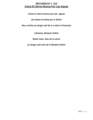# **SECUENCIA # 312 Como El Siervo Busca Por Las Aguas**

**Como el siervo busca por las aguas**

**así clama mi alma por ti Señor**

**día y noche yo tengo sed de ti y solo a ti buscare**

**Lléname, lléname Señor**

**Dame mas, mas de tu amor**

**yo tengo sed solo de ti lléname Señor**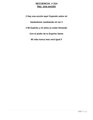# **SECUENCIA: # 314 Hay una unción**

**// Hay una unción aquí Cayendo sobre mí**

**Sanándome cambiando mi ser //**

**// Mi Espíritu y mi alma se están llenando**

**Con el poder de tu Espíritu Santo**

**Mi vida nunca mas será igual //**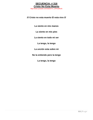# **SECUENCIA: # 316 Cristo No Esta Muerto**

http://www.youtube.com/watch?v=\_KPInu8IUtA

### **/// Cristo no esta muerto El esta vivo ///**

**La siento en mis manos**

**La siento en mis pies**

**La siento en todo mi ser**

**La tengo, la tengo**

**La unción esta sobre mi**

**No la entiendo pero la tengo**

**La tengo, la tengo**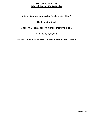# **SECUENCIA # 318 Jehová Eterno Es Tu Poder**

### **// Jehová eterno es tu poder Desde la eternidad //**

### **Hasta la eternidad**

**// Jehová, Jehová, Jehová tu trono inamovible es //**

**// La, la, la, la, la, la //**

**// Anunciamos tus victorias con honor exaltando tu poder //**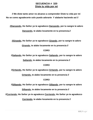### **SECUENCIA # 320 Diste tu vida por mí**

 **// Me diste tanto amor no alcanzo a comprender Diste tu vida por mí No se como agradecerte solo puedo adorarte Y alabarte haciendo así //**

**//Danzando, Ho Señor yo te agradezco Danzando, por tu sangre te adoro**

**Danzando, te alabo locamente en tu presencia.//**

**//Girando, Ho Señor yo te agradezco Girando, por tu sangre te adoro**

**Girando, te alabo locamente en tu presencia //**

### **CORO**

**//Saltando, Ho Señor yo te agradezco Saltando, por tu sangre te adoro**

**Saltando, te alabo locamente en tu presencia //**

### **CORO**

**//Gritando, Ho Señor yo te agradezco Gritando, por tu sangre te adoro**

**Gritando, te alabo locamente en tu presencia //**

### **CORO**

**//Silbando, Ho Señor yo te agradezco Silbando, por tu sangre te adoro**

**Silbando, te alabo locamente en tu presencia //**

**//Corriendo, Ho Señor yo te agradezco Corriendo, Ho Señor yo te agradezco**

**Corriendo, te alabo locamente en tu presencia //**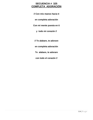# **SECUENCIA # 325 COMPLETA ADORACIÓN**

**// Con mis manos hacia ti**

**en completa adoración**

**Con mi mente puesta en ti**

**y todo mi corazón //**

**// Te alabare, te adorare**

**en completa adoración**

**Te alabare, te adorare** 

**con todo el corazón //**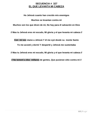### **SECUENCIA # 327 EL QUE LEVANTA MI CABEZA**

**Ho Jehová cuanto han crecido mis enemigos**

### **Muchos se levantan contra mí**

**Muchos son los que dicen de mí, No hay para él salvación en Dios**

**// Mas tu Jehová eres mi escudo, Mi gloria y el que levanta mi cabeza //**

**Con mi voz clame a Jehová Y él me oyó desde su monte Santo**

**Yo me acosté y dormí Y desperté y Jehová me sustentaba**

**// Mas tu Jehová eres mi escudo, Mi gloria y el que levanta mi cabeza //**

**// No temeré a diez millares de gentes, Que pusieran sitio contra mí //**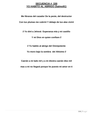### **SECUENCIA # 330 YO HABITO AL ABRIGO (Salmo91)**

**Me libraras del cazador De la peste, del destructor**

**Con tus plumas me cubriré Y debajo de tus alas viviré**

**// Yo diré a Jehová Esperanza mía y mi castillo**

**Y mi Dios en quien confiare //**

**// Yo habito al abrigo del Omnipotente**

**Yo moro bajo la sombra del Altísimo //**

**Caerán a mi lado mil y a mi diestra caerán diez mil**

**mas a mi no llegará porque he puesto mi amor en ti**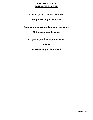## **SECUENCIA 333 DIGNO DE ALABAR**

**Celebra gozoso delante del Señor**

**Porque él es digno de alabar**

**Canta con tu espíritu Aplaude con tus manos**

**Mi Dios es digno de alabar**

**// Digno, digno Él es digno de alabar**

**Aleluya,**

**Mi Dios es digno de alabar //**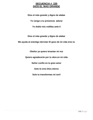### **SECUENCIA # 335 DIOS EL MAS GRANDE**

**Dios el más grande y digno de alabar**

**Yo vengo a tu presencia adorar**

**Yo doblo mis rodillas ante ti**

**Dios el más grande y digno de alabar**

**Me ayuda al enemigo derrotar El gozo de mi vida eres tu**

**//Señor yo quiero levantar mi voz**

**Quiero agradecerte por tu obra en mi vida**

**Señor confío en tu gran amor**

**Solo tú eres Dios eterno**

**Solo tu transformas mi ser//**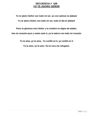### **SECUENCIA # 338 YO TE ADORO SEÑOR**

**Yo te adoro Señor con todo mi ser, yo con salmos te alabare**

**Yo te adoro Señor con todo mi ser, todo el día te alabaré**

**Pues tu glorioso eres Señor y tu nombre es digno de alabar,**

**has mi corazón puro y santo ante ti, yo te adoro con todo mi corazón**

**Yo te amo, yo te amo, Yo confió en ti, yo confió en ti**

**Yo te amo, yo te amo En la roca me refugiare.**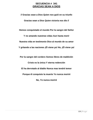### **SECUENCIA # 341 GRACIAS SEAN A DIOS**

**// Gracias sean a Dios Quien nos guió en su triunfo Gracias sean a Dios Quien victoria nos dio //**

**Hemos conquistado el mundo Por la sangre del Señor Y no amando nuestras vidas Aun hasta morir**

**Nuestra vida en testimonio Dice al mundo de su amor**

**Y gritando a las naciones ¡Él viene ya! Ho, ¡Él viene ya!**

**Por la sangre del cordero Somos libres de maldición**

**Cristo es la única Y eterna redención**

**El ha derrotado al diablo Nunca mas tendré temor**

**Porque él conquisto la muerte Yo nunca moriré** 

**No, Yo nunca moriré**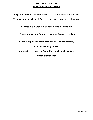# **SECUENCIA # 345 PORQUE ERES DIGNO**

**Vengo a tu presencia mi Señor** con acción de alabanzas y de adoración

**Vengo a tu presencia mi Señor** con fruto en mis labios y en mi corazón

**Levanto mis manos a ti, Señor Levanto mi canto a ti**

 **Porque eres digno, Porque eres digno, Porque eres digno**

**Vengo a tu presencia mi Señor con mi vida y mis labios,**

**Con mis manos y mi ser.**

**Vengo a tu presencia mi Señor En la noche en la mañana**

**Desde el amanecer**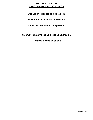## **SECUENCIA # 348 ERES SEÑOR DE LOS CIELOS**

**Eres Señor de los cielos Y de la tierra**

**El Señor de la creación Y de mi vida**

**La tierra es del Señor Y su plenitud**

**Su amor es maravilloso Su poder es sin medida**

**Y santidad el cetro de su altar**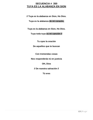### **SECUENCIA # 350 TUYA ES LA ALABANZA EN SION**

**// Tuya es la alabanza en Sion, Ho Dios.**

**Tuya es la alabanza de mi corazón,**

**Tuya es la alabanza en Sion, Ho Dios.**

**Tuya toda tuya es mi canción //**

**Tu oyes la oración**

**De aquellos que te buscan**

**Con tremendas cosas**

**Nos responderás tú en justicia**

**OH, Dios**

**// De nuestra salvación //**

**Tú eres**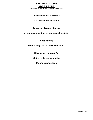### **SECUENCIA # 353 ABBA PADRE**

http://www.youtube.com/watch?v=KLu-WuXdyLo

**Una vez mas me acerco a ti**

### **con libertad en adoración**

**Tu eres mi Dios tu hijo soy**

**mi comunión contigo es una dulce bendición**

**Abba padre//**

**Estar contigo es una dulce bendición**

**Abba padre te amo Señor**

**Quiero estar en comunión** 

**Quiero estar contigo**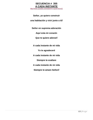#### **SECUENCIA # 355 A CADA INSTANTE** <http://www.youtube.com/watch?v=ryZxKTlcmxQ>

**Señor, yo quiero construir** 

**una habitación y vivir junto a ti//**

**Señor en suprema adoración**

**Aquí esta mi corazón**

**Que te quiere adorar//**

**A cada instante de mi vida**

**Yo te agradeceré**

**A cada instante de mi vida**

**Siempre te exaltare**

**A cada instante de mi vida**

**Siempre te amare Señor//**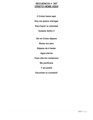# **SECUENCIA # 357 CRISTO HEME AQUÍ**

**// Cristo heme aquí**

**Hoy me quiero entregar**

**Para hacer tu voluntad**

**Guíame Señor //**

**Oh mi Cristo déjame**

**Besar tus pies**

**Déjame de ti beber**

**Agua eterna**

**Pues ella me restaurara**

**Me purificara**

**Y así podré**

**Escuchar tu corazón//**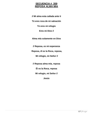### **SECUENCIA # 359 REPOSA ALMA MIA**

**// Mi alma esta callada ante ti**

**Tú eres roca de mi salvación**

**Tú eres mi refugio**

**Eres mi Dios //**

**Alma mía solamente en Dios**

**// Reposa, es mi esperanza**

**Reposa, él es la Roca, reposa,**

**Mi refugio, mi Señor //** 

**// Reposa alma mía, reposa** 

**Él es la Roca, reposa**

**Mi refugio, mi Señor //**

**Jesús**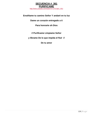#### **SECUENCIA # 361 PURIFICAME** [http://www.youtube.com/watch?v=17GTghU\\_h5U](http://www.youtube.com/watch?v=17GTghU_h5U)

**Enséñame tu camino Señor Y andaré en tu luz**

**Dame un corazón entregado a ti**

**Para honrarte oh Dios**

**// Purifícame Límpiame Señor** 

**y líbrame De lo que impida el fluír //**

**De tu amor**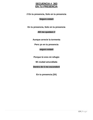# **SECUENCIA # 363 EN TU PRESENCIA**

**// En tu presencia, Solo en tu presencia** 

### **Seguro estaré**

**En tu presencia, Solo en tu presencia**

**Allí me quedare //**

**Aunque arrecie la tormenta**

**Pero yo en tu presencia** 

**seguro estaré**

**Porque tú eres mi refugio**

**Mi ciudad amurallada**

**Dentro de ti me esconderé**

**En tu presencia (3X)**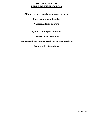# **SECUENCIA # 366 PADRE DE MISERICORDIA**

**// Padre de misericordia muéstrate hoy a mí**

**Pues te quiero contemplar** 

**Y adorar, adorar, adorar //**

**Quiero contemplar tu rostro**

**Quiero exaltar tu nombre**

**Te quiero adorar, Te quiero adorar, Te quiero adorar**

**Porque solo tú eres Dios**

.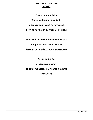### **SECUENCIA # 368 JESÚS**

**Eres mi amor, mi vida Quien me levanta, me alienta Y cuando parece que no hay salida Levanto mi mirada, tu amor me sostiene**

**Eres Jesús, mi amigo Puedo confiar en ti Aunque avanzada esté la noche Levanto mi mirada Tu amor me sostiene**

**Jesús, amigo fiel** 

**Jesús, seguro estoy**

**Tu amor me sostendrá, Aliento me darás**

**Eres Jesús**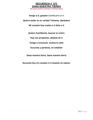### **SECUENCIA # 371 SANA NUESTRA TIERRA** <http://www.youtube.com/watch?v=ByMqOOdIbZc>

**Vengo a ti, guíame** Santifícame en ti **Quiero andar en tu verdad Tómame, abrázame Mi corazón hoy vuelvo a ti Solo a ti**

**Quiero humillarme, buscar tu rostro**

**Hoy me arrepiento, delante de ti**

**Vengo a invocarte, inclina tu oído**

**Escucha y perdona, mi rebelión**

**Sana nuestra tierra, Sana nuestra tierra**

**Escucha hoy mi corazón A ti levanto mi clamor**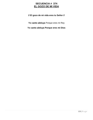# **SECUENCIA # 374 EL GOZO DE MI VIDA**

**// El gozo de mi vida eres tu Señor //**

**Yo canto aleluya** Porque eres mi Rey

**Yo canto aleluya Porque eres mi Dios**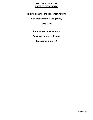# **SECUENCIA # 376 ANTE TI CON GOZO**

**(4x) Me gozare en tu presencia Jehová**

**Con todas mis fuerzas gritare,**

**¡Hey! (4x)**

**// Ante ti con gozo cantare** 

**Con alegre danza celebrare**

**Saltare, me gozare //**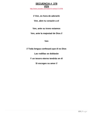### **SECUENCIA # 378 VEN**

<http://www.youtube.com/watch?v=txHusY7vYPM>

**// Ven, es hora de adorarle**

**Ven, abre tu corazón a el**

**Ven, ante su trono estamos**

**Ven, ante la majestad de Dios //**

**Ven**

**// Toda lengua confesará que él es Dios**

**Las rodillas se doblarán**

**Y un tesoro eterno tendrás en él**

**Si escoges su amor //**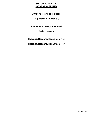### **SECUENCIA # 380 HOSANNA AL REY**

**// Con mi Rey todo lo puedo**

**Es poderoso en batalla //**

**// Tuya es la tierra, su plenitud**

**Tú la creaste //**

**Hosanna, Hosanna, Hosanna, al Rey**

**Hosanna, Hosanna, Hosanna, al Rey**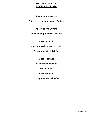# **SECUENCIA # 382 ADORO A CRISTO**

**Adoro, adoro a Cristo**

**Entro en su presencia con cánticos**

**Adoro, adoro a Cristo**

**Entro en su presencia Otra vez**

**A ser renovado**

**Y ser renovado, y ser renovado**

**En la presencia del Señor**

**Y ser renovado**

**Mi Señor yo necesito** 

**Ser renovado**

**Y ser renovado**

**En la presencia del Señor**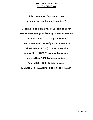### **SECUENCIA # 384 OH JEHOV**

**// Tu, Ho Jehová, Eres escudo mío Mi gloria y el que levanta todo mi ser //**

**Jehovah Tsidéknu (SIDKENÚ) Justicia de mi ser Jehová M'kaddesh (MACÁDESH) Tú eres mi santidad Jehová Shalom Tú eres la paz de mí ser Jehová Shammah (SHAMÁ) El Señor esta aquí Jehová Rophe (ROPE) Tú eres mi sanador Jehová Jireh (JIRE) Sí, tú eres mi proveedor Jehová Níssi (NÍSI) Bandera de mi ser Jehová Rohi (ROJI) Tú eres mi pastor El Shaddai (SHADAY) Mas que suficiente para mí**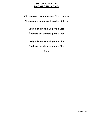# **SECUENCIA # 387 DAD GLORIA A DIOS**

**// Él reina por siempre n**uestro Dios poderoso

**Él reina por siempre por todos los siglos //**

**Dad gloria a Dios, dad gloria a Dios**

**Él reinara por siempre gloria a Dios**

**Dad gloria a Dios, dad gloria a Dios**

**Él reinara por siempre gloria a Dios**

**Amen**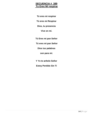# **SECUENCIA # 389 Tu Eres Mi respirar**

**Tú eres mi respirar** 

**Tú eres mi Respirar**

**Dios, tu presencia** 

**Vive en mí.**

**Tú Eres mi pan Señor**

**Tú eres mi pan Señor**

**Dios tus palabras** 

**son para mí.**

**Y Yo te anhelo Señor**

**Estoy Perdido Sin Ti**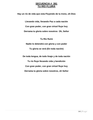### **SECUENCIA # 391 TU RÍO FLUIRÁ**

**Hay un río de vida que esta Fluyendo de tu trono, oh Dios**

**Llevando vida, llevando Paz a cada nación Con gran poder, con gran virtud fluye hoy Derrama tu gloria sobre nosotros Oh, Señor** 

**Tu Río fluirá**

**Nadie lo detendrá con gloria y con poder**

**Tu gloria se verá (En toda nación)**

**De toda lengua, de todo linaje y de toda nación Tu río fluye llevando vida y bendición Con gran poder, con gran virtud fluye hoy Derrama tu gloria sobre nosotros, oh Señor**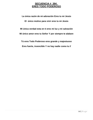# **SECUENCIA # 394 ERES TODO PODEROSO**

**La única razón de mi adoración Eres tu mi Jesús**

**El único motivo para vivir eres tu mi Jesús**

**Mi única verdad esta en ti eres mi luz y mi salvación**

**Mi único amor eres tu Señor Y por siempre te alabare**

**Tú eres Todo Poderoso eres grande y majestuoso Eres fuerte, invencible Y no hay nadie como tu //**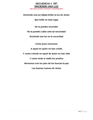# **SECUENCIA # 397 ENCIENDE UNA LUZ**

<http://www.youtube.com/watch?v=jD2aMygWg04>

**Enciende una luz déjala brillar la luz de Jesús** 

**Que brille en todo lugar**

**No la puedes esconder**

**No la puedes callar ante tal necesidad**

**Enciende una luz en la oscuridad**

**Como pues invocaran**

**A aquel en quien no han creído**

**Y como creerán en aquel de quien no han oído**

**Y como oirán si nadie les predica**

**Hermosos son los pies de los buscan la paz**

**Las buenas nuevas de Jesús**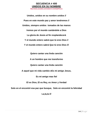#### **SECUENCIA # 400 UNIDOS EN SU NOMBRE** <http://www.youtube.com/watch?v=DnNadPfxncc>

**Unidos, unidos en su nombre unidos // Pues en este mundo paz y amor tendremos // Unidos, siempre unidos tomados de las manos Iremos por el mundo cantándole a Dios La gloria de Jesús al fin resplandecerá Y el mundo entero sabrá que tú eres Dios // Y el mundo entero sabrá Que tú eres Dios ///**

**Quiero cantar una linda canción**

**A un hombre que me transformo**

**Quiero cantar una linda canción**

**A aquel que mi vida cambio eEs mi amigo Jesus,**

**Es mi amigo mas fiel**

**El es Dios, El es Rey, es Amor y Verdad**

**Solo en el encontré esa paz que busque, Solo en encontré la felicidad** 

**La,la,la ///**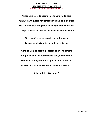**SECUENCIA # 403 LEVANTATE Y SALVAME** [http://www.youtube.com/watch?v=up1b2pv5U\\_k](http://www.youtube.com/watch?v=up1b2pv5U_k)

**Aunque un ejercito acampe contra mí, no temeré Aunque haya guerra hoy alrededor de mí, en ti confiaré No temeré a diez mil gentes que hagan sitio contra mí Aunque la tierra se estremezca mi salvación esta en ti**

**//Porque tú eres mi escudo, tú mi fortaleza**

**Tú eres mi gloria quien levanta mi cabeza//**

**Aunque afligido este tu pensaras en mí, no temeré Aunque mi corazón estremecido este, en ti confiaré No temeré a ningún hombre que se junte contra mí Tú eres mi Dios mi fortaleza mi salvación esta en ti**

**/// Levántate y Sálvame ///**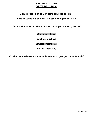# **SECUENCIA # 407 GRITA DE JUBILO**

**Grita de Jubilo hija de Sion canta con gozo oh, Israel**

**Grita de Jubilo hija de Sion, Hey canta con gozo oh, Israel**

**// Exalta el nombre de Jehová tu Dios con harpa, pandero y danza //**

**//Con alegre danza,**

**Celebrare a Jehová**

**Címbalo y trompetas,** 

**Ante él resonaran//**

**// Se ha vestido de gloria y majestad celebra con gran gozo ante Jehová //**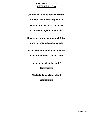#### **SECUENCIA # 410 ESTE ES EL DÍA**

**// Este es el día que Jehová preparo Para que todos nos alegremos // Unos cantando, otros danzando /// Y todos festejando a Jehová ///**

**Risa en mis labios ha puesto el Señor**

**Llena mi lengua de alabanza esta**

**El ha cambiado en baile mi aflicción**

**Es el motivo de esta celebración**

**la, la, la, la,la,la,la,la,la,la,X2**

#### **Es el motivo**

**// la, la, la, la,la,la,la,la,la,la,X2** 

#### **Este es el día**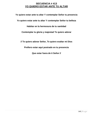#### **SECUENCIA # 413 YO QUIERO ESTAR ANTE TU ALTAR**

**Yo quiero estar ante tu altar Y contemplar Señor tu presencia Yo quiero estar ante tu altar Y contemplar Señor tu belleza Habitar en la hermosura de tu santidad Contemplar tu gloria y majestad Te quiero adorar // Te quiero adorar Señor, Te quiero exaltar mi Dios Prefiero estar aquí postrado en tu presencia Que estar fuera de ti Señor //**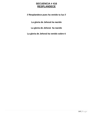## **SECUENCIA # 416 RESPLANDECE**

**// Resplandece pues ha venido tu luz //**

**La gloria de Jehová ha nacido**

**La gloria de Jehová ha nacido**

**La gloria de Jehová ha venido sobre ti**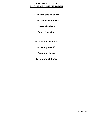# **SECUENCIA # 418 AL QUE ME CIÑE DE PODER**

**Al que me ciñe de poder**

**Aquel que mi victoria es**

**Solo a él alabare**

**Solo a él exaltare**

**De ti será mi alabanza**

**En la congregación**

**Cantare y alabare**

**Tu nombre, oh Señor**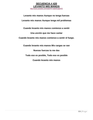

**Levanto mis manos Aunque no tenga fuerzas Levanto mis manos Aunque tenga mil problemas**

**Cuando levanto mis manos comienzo a sentir**

**Una unción que me hace cantar**

**Cuando levanto mis manos comienzo a sentir el fuego.**

**Cuando levanto mis manos Mis cargas se van**

**Nuevas fuerzas tu me das** 

**Todo eso es posible, Todo eso es posible**

**Cuando levanto mis manos**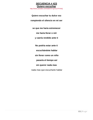## **SECUENCIA # 423 Quiero escuchar**

<http://www.youtube.com/watch?v=g7x1uTFXAtQ>

- **Quiero escuchar tu dulce voz**
- **rompiendo el silencio en mi ser**

**se que me haria estremecer**

**me haria llorar o reír**

**y caería rendido ante ti**

**No podría estar ante ti** 

**escuchándote hablar** 

**sin llorar como un niño** 

**pasaría el tiempo así** 

**sin querer nada mas** 

nada mas que escucharte hablar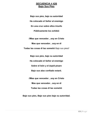#### **SECUENCIA # 426 Bajo Sus Pies**

**Bajo sus pies, bajo su autoridad Ha colocado el Señor al enemigo En una cruz sobre ellos triunfo Públicamente los exhibió**

**//Mas que vencedor…soy en Cristo Mas que vencedor…soy en él Todas las cosas él las sometió** Bajo sus pies//

> **Bajo sus pies, bajo su autoridad Ha colocado el Señor al enemigo Sobre el león y el áspid pisare**

**Bajo sus alas confiado estaré.**

**//Mas que vencedor…soy en Cristo Mas que vencedor…soy en él Todas las cosas él las sometió**

**Bajo sus pies, Bajo sus pies bajo su autoridad.**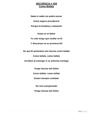#### **SECUENCIA # 429 Como Búfalo**

**Nada ni nadie me podrá vencer**

**Estoy seguro prevaleceré**

**Porque la fortaleza y salvación**

**Estan en el Señor**

**Yo solo tengo que confiar en El**

**Y descansar en su promesa fiel**

**De que El aumentara mis fuerzas como búfalo**

**Como búfalo, como búfalo**

**Arrollare al enemigo si se enfrenta conmigo**

**Tengo fuerzas del Señor**

**Como búfalo, como búfalo**

**Estaré siempre confiado**

**No seré avergonzado**

**Tengo fuerzas del Señor**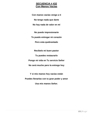#### **SECUENCIA # 432 Con Manos Vacías**

**Con manos vacías vengo a ti No tengo nada que darte**

**No hay nada de valor en mí**

**No puedo impresionarte**

**Te puedo entregar mi corazón**

**Pero esta quebrantado**

**Recíbelo mi buen pastor Tu puedes restaurarlo Pongo mi vida en Tu servicio Señor No será mucho pero la entrego hoy**

**Y si mis manos hoy vacías están Puedes llenarlas con tu gran poder y amor Usa mis manos Señor.**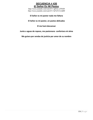#### **SECUENCIA # 435 El Señor Es Mi Pastor**

*http://www.youtube.com/watch?v=gb5wl\_ZTW38 http://www.youtube.com/watch?v=Q7oY111cQH0*

#### **El Señor es mi pastor nada me faltara**

**El Señor es mi pastor, en pastos delicados**

#### **El me hará descansar**

**Junto a aguas de reposo, me pastoreara confortara mi alma**

**Me guiara por sendas de justicia por amor de su nombre**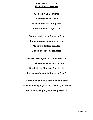## **SECUENCIA # 437 En El Estoy Seguro**

**//Con sus alas me cubrirá Mi esperanza en El esta Mis caminos son protegidos En el encuentro seguridad**

**Porque confió en mi Dios y mi Rey Como guerrero que cubre mi ser Me librara del lazo cazador El es mi escudo, mi salvación**

**//En el estoy seguro, yo confiado estaré Debajo de sus alas allí morare Mi refugio es El, y estaré yo de pie Porque confió en mis Dios, y mi Rey //**

**Caerán a mi lado mil y diez mil a mi diestra Pero a mi no llegara, el es mi escudo y mi fuerza // En el estoy seguro, en el estoy seguro//**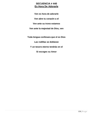## **SECUENCIA # 440 Es Hora De Adorarle**

**Ven es hora de adorarle**

**Ven abre tu corazón a el**

**Ven ante su trono estamos**

**Ven ante la majestad de Díos, ven**

**Toda lengua confesara que el es Dios**

**Las rodillas se doblaran**

**Y un tesoro eterno tendrás en el**

**Si escoges su Amor**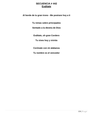#### **SECUENCIA # 442 Exáltate**

**Al borde de tu gran trono - Me postrare hoy a ti**

**Tu reinas sobre principados**

**Sentado a la diestra de Dios**

**Exáltate, oh gran Cordero**

**Tu vives hoy y vivirás**

**Corónate con mi alabanza**

**Tu nombre es el vencedor**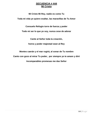#### **SECUENCIA # 444 Mi Cristo**

**Mi Cristo Mi Rey, nadie es como Tu**

**Toda mi vida yo quiero exaltar, las maravillas de Tu Amor**

**Consuelo Refugio torre de fuerza y poder**

**Todo mi ser lo que yo soy, nunca cese de adorar**

**Cante al Señor toda la creación,**

**honra y poder majestad sean al Rey**

**Montes caerán y el mar rugirá, al sonar de Tu nombre Canto con gozo al mirar Tu poder, por siempre yo te amare y diré Incomparables promesas me das Señor**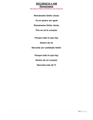# **SECUENCIA # 448 Renuévame**

<http://www.youtube.com/watch?v=OZTh2yQjTqA>

**Renuévame Señor Jesús**

**Ya no quiero ser igual**

**Renuévame Señor Jesús**

**Pon en mí tu corazón**

**Porque todo lo que hay**

**Dentro de mí**

**Necesita ser cambiado Señor**

**Porque todo lo que hay**

**Dentro de mi corazón**

**Necesita más de Ti**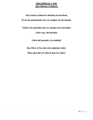# **SECUENCIA # 451 Soy Nueva Criatura**

**Soy nueva criatura lo declara la escritura**

**El me ha perdonado con su sangre me ha lavado**

**Todos mis pecados por su sangre son borrados**

**Libre soy, del pecado**

**Libre del pecado y la maldad**

**Soy libre, el ha roto mis cadenas Libre,**

**libre para dar mi vida al que me salvo**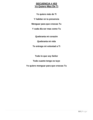# **SECUENCIA # 453 Yo Quiero Mas De Ti**

**Yo quiero más de Ti**

**Y habitar en tu presencia**

**Menguar para que crezcas Tu**

**Y cada día ser mas como Tu**

**Quebranta mi corazón**

**Quebranta mi vida**

**Te entrego mi voluntad a Ti**

**Todo lo que soy Señor**

**Todo cuanto tengo es tuyo**

**Yo quiero menguar para que crezcas Tu**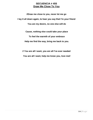### **SECUENCIA # 455 Draw Me Close To You**

**//Draw me close to you, never let me go I lay it all down again, to hear you say that I'm your friend You are my desire, no one else will do**

> **Cause, nothing else could take your place To feel the warmth of your embrace Help me find the way, bring me back to you.**

**// You are all I want, you are all I've ever needed You are all I want, help me know you, love me//**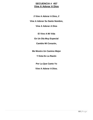#### **SECUENCIA # 457 Vine A Adorar A Dios**

**// Vine A Adorar A Dios, //**

**Vine A Adorar Su Santo Nombre,**

**Vine A Adorar A Dios**

**El Vino A Mi Vida** 

**En Un Día Muy Especial**

**Cambio Mi Corazón,**

**Me Mostro Un Camino Mejor**

**Y Esta Es La Razón**

**Por La Que Canto Yo** 

**Vine A Adorar A Dios.**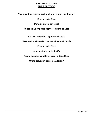# **SECUENCIA # 459 ERES MI TODO**

**Tú eres mi fuerza y mi poder el gran tesoro que busque**

**Eres mi todo Dios**

**Perla de precio sin igual**

**Nunca tu amor podré dejar eres mi todo Dios**

**// Cristo salvador, digno de adorar //**

**Diste tu vida allá en la cruz resucitaste mi Jesús**

**Eres mi todo Dios** 

**en sequedad o en tentación**

**Tu me sostienes mi Señor eres mi todo Dios**

**Cristo salvador, digno de adorar //**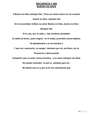#### **SECUENCIA # 462 BUENO ES DIOS**

**// Bueno es Dios siempre fiel, Puso un canto nuevo en mi corazón bueno es dios, siempre fiel,**

**En la oscuridad, brillara su amor Bueno es Dios, bueno es Dios**

**Siempre fiel.**

**Si tu vas, por el valle y hay sombras alrededor**

**Di adiós al temor, pues seguro en el estas, prometió nunca dejarte,**

**Ni abandonarte y el no-mentira //**

**Y aun sin, merecerle, su sangre derramo por mí, me lleno, de su** 

**Presencia y ahora puedo** 

**Compartir que su amor nunca termina, y su amor siempre me dará.**

**No puedo entender, lo que tu anhelas para mi ,**

**Mi dueño eres tu y por la fe veo claramente que**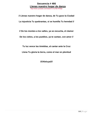# **Secuencia # 466 Llenas nuestro hogar de danza**

http://www.youtube.com/watch?v=tu7BnYRSfpl

**// Llenas nuestro hogar de danza, de Tu gozo la Ciudad**

**La injusticia Tu quebrantas, si se humilla Tu heredad //**

**// De los montes a los valles, ya se escucha, el clamor**

**De los cielos, a los pueblos, ya te cantan, con amor //**

**Tu luz vence las tinieblas, al cantar ante la Cruz**

**Llena Tu gloria la tierra, como el mar en plenitud**

**////Aleluya////**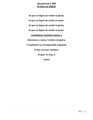#### **Secuencia # 469 Al Que es Digno**

**Al que es Digno de recibir la gloria, Al que es Digno de recibir el honor. Al que es Digno de recibir la gloria, Al que es Digno de recibir el honor. Levantemos nuestras manos y Adoremos a Jesús, Cordero de gloria. Y exaltemos su incomparable majestad. Al que vive por siempre, Al gran Yo Soy, a Jesús.**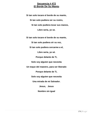## **Secuencia # 472 El Borde De Su Manto**

**Si tan solo tocare el borde de su manto, Si tan solo pudiera ver su rostro, Si tan solo pudiera tocar sus manos, Libre seria, yo se. Si tan solo tocare el borde de su manto, Si tan solo pudiera oír su voz, Si tan solo pudiera cercarme a el, Libre seria, yo sé. Porque delante de Ti, Solo soy alguien que necesita Un toque del maestro, para ser liberado Porque delante de Ti, Solo soy alguien que necesita Una mirada de mi Salvador. Jesus, Jesus Nombre sin igual**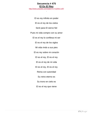# **Secuencia # 475 El Es El Rey**

<http://www.youtube.com/watch?v=ToZI0rU-o9Y> .

El es rey infinito en poder El es el rey de los cielos Seré para El siervo fiel Pues mi vida compro con su amor El es el rey lo confiesa mi ser El es el rey de los siglos Mi vida rindo a sus pies El es rey sobre mi corazón El es el rey, El es el rey El es el rey de mi vida El es el rey, El es el rey Reina con autoridad Su reino eterno es Su trono en cielo es El es el rey que viene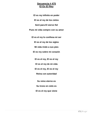#### **Secuencia # 475 El Es El Rey**

**El es rey infinito en poder El es el rey de los cielos Seré para El siervo fiel Pues mi vida compro con su amor**

**El es el rey lo confiesa mi ser**

**El es el rey de los siglos**

**Mi vida rindo a sus pies**

**El es rey sobre mi corazón**

**El es el rey, El es el rey**

**El es el rey de mi vida**

**El es el rey, El es el rey**

**Reina con autoridad**

**Su reino eterno es**

**Su trono en cielo es**

**El es el rey que viene**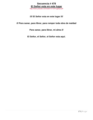# **Secuencia # 478 El Señor esta en este lugar**

<http://www.youtube.com/watch?v=OHYyg0qocyM>

#### **//// El Señor esta en este lugar ////**

#### **/// Para sanar, para librar, para romper toda obra de maldad**

**Para sanar, para librar, mi alma ///**

**El Señor, el Señor, el Señor esta aquí.**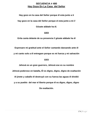#### **SECUENCIA # 480 Hay Gozo En La Casa del Señor**

**Hay gozo en la casa del Señor porque él esta junto a ti**

**hay gozo en la casa del Señor porque el esta junto a mi //**

**Gózate alábale ha él.**

#### **coro**

**Grita canta delante de su presencia // gózate alábale ha él**

**Expresare mi gratitud ante el Señor cantando danzando ante él y mi canto solo a él entregare porque es mi fuerza y mi salvación**

#### **coro**

**Jehová es un gran guerrero, Jehová ese es su nombre Jehová poderoso en batalla, Él es digno, digno, digno de exaltación Al jinete y caballo él destruyó con su fuerza las aguas él dividió y a su pueblo del mar el liberto porque él es digno, digno, digno De exaltación.**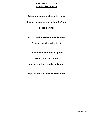## **SECUENCIA # 483 Clamor De Guerra**

**// Clamor de guerra, clamor de guerra**

**Clamor de guerra, a levantado Señor //**

**de los ejércitos** 

**El Dios de los escuadrones de Israel** 

**// despertad a los valientes //**

**Y vengan los hombres de guerra**

**// Señor toca la trompeta //**

**que va por ti mi espada y mi amor**

**// que va por ti mi espada y mi amor //**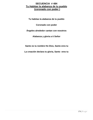## **SECUENCIA # 484 Tu Habitas la alabanza de tu pueblo (coronado con poder )**

**Tu habitas la alabanza de tu pueblo**

**Coronado con poder**

**Ángeles alrededor cantan con nosotros**

**Alabanza y gloria a ti Señor**

**Santo es tu nombre Ho Dios, Santo eres tu** 

**La creación declara tu gloria, Santo eres tu**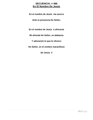### **SECUENCIA: # 486 En El Nombre De Jesús**

**En el nombre de Jesús me acerco**

**Ante tu presencia Ho Señor,**

**En el nombre de Jesús a ofrecerte**

**Mi ofrenda Ho Señor, es alabanza**

**Y adoración lo que te ofrezco**

**Ho Señor, en el nombre maravilloso**

**De Jesús //**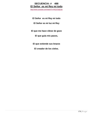# **SECUENCIA: # 488 El Señor es mi Rey mi todo**

<http://www.youtube.com/watch?v=WQ1OyljyJjw>

**El Señor es mi Rey mi todo**

**El Señor es mi luz mi Rey**

**El que me hace vibrar de gozo**

**El que guía mis pasos,**

**El que extiende sus brazos**

**El creador de los cielos.**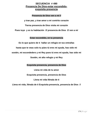# **SECUENCIA # 490 Presencia De Dios-estar escondidoexquisita presencia**

#### **Presencia de Dios ven a mí //**

**y trae paz, y trae amor a mi contrito corazón**

**Tierna presencia de Dios visita mi corazón** 

**Pues tuyo y es tu habitación /// presencia de Dios /// ven a mí**

#### **Estar escondido, en tu presencia**

**Es lo que quiero de ti hallar un refugio en tus entrañas**

**hasta que te veas solo tu púes tú eres mi ayuda, has sido mi**

**sostén, mi escondedero y mi Rey pues tú eres mi ayuda, has sido mi**

**Sostén, mi alto refugio y mi Rey**

**Exquisita presencia, presencia de Dios**

**Llena mi vida de tu amor Exquisita presencia, presencia de Dios Llena mi vida llénala de ti**

**Llena mi vida, llénala de ti Exquisita presencia, presencia de Dios //**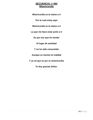## **SECUENCIA: # 494 Misericordia**

**Misericordia es la clamo a ti**

**Por la cual estoy aquí**

**Misericordia es la clamo a ti**

**La que me hace estar junto a ti**

**Es por eso que he venido**

**Al lugar de santidad**

**Y no he sido consumido**

**Aunque es mucha mi maldad**

**Y yo sé que es por tu misericordia**

**Te doy gracias Señor.**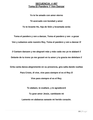## **SECUENCIA: # 497 Toma El Pandero Y Ven Danzar**

**Yo te he amado con amor eterno**

**Té acercado con bondad y amor**

**Yo te levante Ho, hija de Sión y levantada serás**

**Toma el pandero y ven a danzar, Toma el pandero y ven a gozar**

**Ven y subamos ante nuestro Rey, Toma el pandero y ven a danzar ///**

**// Cantare danzare y me alegraré más y más cada vez yo te alabaré //**

**Delante de tu trono yo me gozaré en tu amor y tu gracia me deleitare //**

**Grita canta danza alegremente en su presencia, gira salta dando vueltas**

**Para Cristo, él vive, vive para siempre el es el Rey ///**

**Vive para siempre el es el Rey.**

**Te alabare, te exaltare, y te agradeceré**

**Tu gran amor Jesús, cambiaste mi Lamento en alabanza sanaste mi herido corazón.**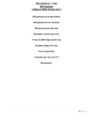## **SECUENCIA: # 501 Mil Gracias ( diga el débil fuerte soy )**

**Mil gracias yo te doy Señor**

**Mil gracias de mi corazón**

**Mil gracias por que has**

**Enviado a Jesús por mí //**

**Y hoy el débil diga fuerte soy**

**El pobre diga rico soy**

**Por lo que Dios**

**A hecho por mi y en ti //**

**Mil gracias.**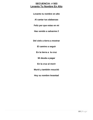## **SECUENCIA: # 503 Levanto Tu Nombre En Alto**

**Levanto tu nombre en alto**

**Al cantar tus alabanzas**

**Feliz por que estas en mi**

**Has venido a salvarme //**

**Del cielo a tierra a mostrar**

**El camino a seguir**

**En la tierra a la cruz**

**Mi deuda a pagar**

**En la cruz al morir**

**Murió y también resucitó**

**Hoy su nombre levantad**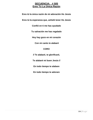# **SECUENCIA: # 505 Eres Tú La Única Razón**

**Eres tú la única razón de mi adoración Ho Jesús**

**Eres tú la esperanza que, anhelé tener Ho Jesús**

**Confió en ti me has ayudado**

**Tu salvación me has regalado**

**Hoy hay gozo en mi corazón**

**Con mi canto te alabaré**

## **CORO**

**// Te alabaré, te glorificaré,** 

**Te alabaré mi buen Jesús //**

**En todo tiempo te alabare**

**En todo tiempo te adorare**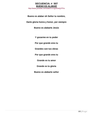## **SECUENCIA: # 507 BUENO ES ALABAR**

<http://www.youtube.com/watch?v=QZfOreQJTFw>

**Bueno es alabar oh Señor tu nombre,**

**Darte gloria honra y honor, por siempre**

**Bueno es alabarte Jesús**

**Y gozarme en tu poder** 

**Por que grande eres tu** 

**Grandes son tus obras**

**Por que grande eres tu**

**Grande es tu amor** 

**Grande es tu gloria**

**Bueno es alabarte señor**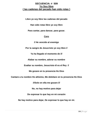## **SECUENCIA: # 509 Yo Soy libre ( las cadenas del pecado han sido rotas )**

**Libre yo soy libre las cadenas del pecado**

**Han sido rotas libre yo soy libre**

**Para cantar, para danzar, para gozar.**

## **Coro**

**// He vencido al enemigo**

**Por la sangre de Jesucristo yo soy libre //**

**Ya ha llegado el momento de ///**

**Alabar su nombre, adorar su nombre**

**Exaltar su nombre, Jesucristo él es el Rey //**

**Me gozare en tu presencia Ho Dios**

**Cantare a tu nombre Ho altísimo, Me deleitare en tu presencia Ho Dios**

**///Solo en ella me gozare ///**

**No, no hay motivo para dejar**

**De expresar lo que hay en mi corazón**

**No hay motivo para dejar, De expresar lo que hay en mí.**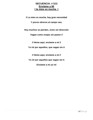## **SECUENCIA: # 513 Envíame a Mí ( la mies es mucha )**

**// La mies es mucha, hay gran necesidad Y pocos obreros al campo van,**

**Hoy muchos se pierden, viven sin dirección**

**Vagan como ovejas sin pastor //**

**// Heme aquí, envíame a mi //**

**Yo iré por aquellos, que vagan sin ti**

**// Heme aquí, envíame a mi //**

**Yo iré por aquellos que vagan sin ti**

**Envíame a mi yo iré**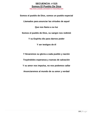## **SECUENCIA: # 515 Somos El Pueblo De Dios**

<http://www.youtube.com/watch?v=TDnxONQYyh4>

**Somos el pueblo de Dios, somos un pueblo especial**

**Llamados para anunciar las virtudes de aquel**

**Que nos llamo a su luz**

**Somos el pueblo de Dios, su sangre nos redimió**

**Y su Espíritu dio para darnos poder**

**Y ser testigos de él**

**Y llevaremos su gloria a cada pueblo y nación**

**Trayéndoles esperanza y nuevas de salvación**

**Y su amor nos impulsa, no nos podemos callar**

**Anunciaremos al mundo de su amor y verdad**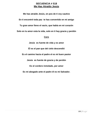## **SECUENCIA # 518 Me Has Atraído Jesús**

**Me has atraído Jesús, en pos de ti voy cautivo**

**En ti encontré toda paz te has convertido en mi amigo**

**Tu gran amor lleno el vacío, que había en mi corazón**

**Solo en tu amor esta la vida, solo en ti hay gracia y perdón**

### **Coro**

**Jesús es fuente de vida y es amor**

**Él es el pan que del cielo descendió**

**Es el camino hacia el padre el es mi buen pastor**

**Jesús es fuente de gracia y de perdón**

**Es el cordero inmolado, por amor**

**Es mi abogado ante el padre él es mi Salvador.**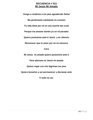## **SECUENCIA # 521 Mi Jesús Mi Amado**

**Vengo a rendirme a tus pies agradecido Señor Me perdonaste cambiaste mi corazón Tu vida diste por mí en una muerte tan cruel Porque me amaste siendo yo un vil pecador Quiero postrarme ante ti Jesús y en silencio Reconocer que tu amor por mí no merezco Coro Mi Jesús mi amado quiero postrarme ante ti Para adorarte mi Jesús mi amado Quiero regar con mis lágrimas tus pies**

**Quiero besarlos y así permanecer y derramar ante**

**Ti todo mi ser.**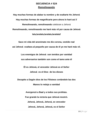# **SECUENCIA # 524 Remolineando**

**Hay muchas formas de alabar tu nombre y de exaltarte Ho Jehová Hay muchas formas de magnificarte pero ahora lo haré así // Remolineando, remolineando** celebrare a Jehová **Remolineando, remolineando me haré más vil por causa de Jehová lala,laralala,laralala,laralala//**

**Saco mi vida del anonimato me dio corona, vestido real así Jehová exaltara al pequeño por causa de él yo me haré más vil.**

> **Los enemigos de Jehová son tenidos por vanidad sus adversarios también son como el tamo ante él**

**Él es Jehová, el vencedor Jehová es el Señor Jehová es el Dios de los dioses**

**Decapito a Dagón dios de los Filisteos cortándole las dos Manos lo redujo a vanidad**

> **Avergonzó a Baal y a todos sus profetas. Fue grande la victoria que Jehová mostró. Jehová, Jehová, Jehová, es vencedor Jehová, Jehová, Jehová, es el Señor**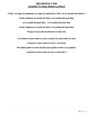## **SECUENCIA # 529 Levanta Tu Casa Sobre La Roca**

**// Sión es lugar de alabanza, es lugar de adoración, Sión es la morada del Señor // Venid subamos al monte de Sión, a la ciudad del gran Rey a la ciudad del gran Rey , a la ciudad del gran Rey Venid subamos al monte de Sión, a la ciudad del gran Rey Porque el arca del testimonio en ella esta // Levanta tu casa sobre la roca, Levanta tu casa sobre la roca Levanta tu casa sobre la roca Y vencerás No habrá poder en este mundo que pueda resistir a su palabra**

**Levanta tu casa sobre la roca y vencerás //**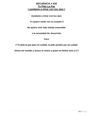## **SECUENCIA # 532 Te Pido La Paz ( ayúdame a mirar con tus ojos )**

**Ayúdame a mirar con tus ojos**

**Yo quiero sentir con tu corazón //**

**No quiero vivir más siendo insensible**

**a la necesidad Ho Jesucristo**

## **Coro**

**// Te pido la paz para mí cuidad, te pido perdón por mí cuidad**

**Ahora me humillo y busco tu rostro a quien iré Señor sino a ti //**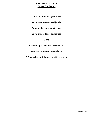# **SECUENCIA # 534 Dame De Beber**

**Dame de beber tu agua Señor**

**Ya no quiero tener sed jamás**

**Dame de beber necesito mas**

**Ya no quiero tener sed jamás**

#### **Coro**

**// Dame agua viva llena hoy mi ser**

**Ven y sáciame con tu verdad //**

**// Quiero beber del agua de vida eterna //**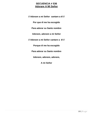## **SECUENCIA # 536 Adorare A Mi Señor**

**// Adorare a mi Señor cantare a él //**

**Por que él me ha escogido**

**Para adorar su Santo nombre**

**Adorare, adorare a mi Señor**

**// Adorare a mi Señor cantare a él //**

**Porque él me ha escogido**

**Para adorar su Santo nombre**

**Adorare, adorare, adorare,**

**A mi Señor**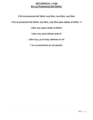## **SECUENCIA: # 538 En La Presencia Del Señor**

**// En la presencia del Señor soy libre, soy libre, soy libre**

**// En la presencia del Señor soy libre, soy libre para alabar al Señor //**

**Libre soy, para cantar al Señor**

**Libre soy, para danzar ante él**

**Libre soy, ya no hay cadenas en mi**

**Y en su presencia yo me gozare.**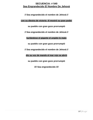## **SECUENCIA: # 540 Sea Engrandecido El Nombre De Jehová**

**// Sea engrandecido el nombre de Jehová //**

#### **con su diestra de victoria él mostró su gran poder**

**su pueblo con gran gozo prorrumpió**

**// Sea engrandecido el nombre de Jehová //**

#### **burlándose el gigante el ungido lo mato**

**su pueblo con gran gozo prorrumpió**

**// Sea engrandecido el nombre de Jehová //**

**dio su voz de mando el mar rojo se abrió**

**su pueblo con gran gozo prorrumpió**

**//// Sea engrandecido ////**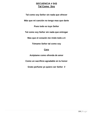## **SECUENCIA # 543 Tal Como Soy**

**Tal como soy Señor sin nada que ofrecer**

**Más que mi canción no tengo mas que darte**

**Pues todo es tuyo Señor**

**Tal como soy Señor sin nada que entregar**

**Mas que el corazón me rindo todo a ti**

**Tómame Señor tal como soy**

## **Coro**

**Acéptame como ofrenda de amor**

**Como un sacrificio agradable en tu honor**

**Grato perfume yo quiero ser Señor //**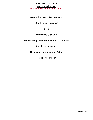## **SECUENCIA # 546 Ven Espíritu Ven**

[http://www.youtube.com/watch?v=orx\\_Nig-UFM](http://www.youtube.com/watch?v=orx_Nig-UFM)

## **Ven Espíritu ven y lléname Señor**

### **Con tu santa unción //**

#### **coro**

### **Purifícame y lávame**

# **Renuévame y restáurame Señor con tu poder**

## **Purifícame y lávame**

## **Renuévame y restáurame Señor**

### **Te quiero conocer**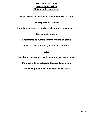# **SECUENCIA # 548 Jesús Es El Señor (Señor de la creación )**

**Jesús, Señor de la creación siendo en forma de Dios**

**Se despojo de sí mismo**

**Tomo la semejanza de hombre y siendo puro y sin mancha**

**Entre nosotros vivió**

**Y así mismo se humilló tomando forma de siervo**

**Hasta su vida entregar y en una cruz terminar**

# **Coro**

**Más Dios a lo sumo lo exalto y su nombre engrandeció**

**Para que ante su autoridad toda rodilla se doble**

**Y toda lengua confiese que Jesús es el Señor**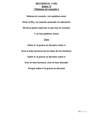## **SECUENCIA: # 551 Sobre Ti ( Rebosa mi corazón )**

**Rebosa mi corazón con palabras amor**

**Dirijo al Rey mi canción postrado en adoración**

**Mi boca quiere expresar lo que hay mi corazón**

**Y no hay palabras Jesús**

## **Coro**

**Sobre ti, la gracia se derramo sobre ti**

**Eres el más hermoso de los hijos de los hombres**

**Sobre ti, la gracia se derramo sobre ti**

**Eres él más hermoso, eres el mas deseado**

**Porque sobre ti la gracia se derramó**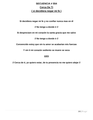# **SECUENCIA # 554 Cerca De Ti ( si decidiera negar mi fe )**

**Si decidiera negar mi fe y no confiar nunca mas en él**

**// No tengo a donde ir //**

**Si despreciare en mi corazón la santa gracia que me salvo**

**// No tengo a donde ir //**

**Convencido estoy que sin tu amor se acabarían mis fuerzas**

**Y sin ti mi corazón sediento se muere se seca**

#### **coro**

**// Cerca de ti, yo quiero estar, de tu presencia no me quiero alejar //**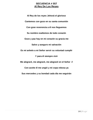## **SECUENCIA # 557 Al Rey De Los Reyes**

**Al Rey de los reyes Jehová el glorioso Cantemos con gozo en su santa comunión Con gran reverencia a él nos lleguemos Su nombre exaltemos de todo corazón Gozo y paz hay en mi corazón su gracia me Salvo y aseguro mi salvación Es mi anhelo a mi Señor servir su voluntad cumplir Y para él siempre vivir Me alegraré, me alegraré, me alegraré en el Señor // Con aceite él me ungió y mi copa rebosa ya Sus mercedes y su bondad cada día me seguirán**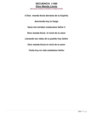# **SECUENCIA # 560 Dios Manda Lluvia**

<http://www.youtube.com/watch?v=3eq5DV3hs68>

**// Dios manda lluvia derrama de tu Espíritu**

**descienda hoy tu fuego**

**Sana mis heridas restáurame Señor //**

**Dios manda lluvia el roció de tu amor**

**Llenando las vidas de tu pueblo hoy Señor**

**Dios manda lluvia el roció de tu amor**

**Visita hoy mi vida cámbiame Señor**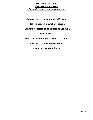## **SECUENCIA # 562 Venceré y vencerás ( Jehová esta en nuestra guerra )**

**//Jehová esta en nuestra guerra Peleara// // Jehová está en la batalla vencerá // // Venceré, vencerás en el nombre de Jehová // Yo venceré... // Venceré en el nombre maravilloso de Jehová // // No es con poder dice el Señor**

**Es con mi Santo Espíritu //**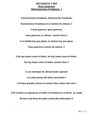## **SECUENCIA # 564 Gran Guerrero (Destruiremos fortalezas )**

**// Destruiremos fortalezas, destruiremos fortalezas Destruiremos fortalezas en el nombre de Jehová // // Gran guerrero, gran guerrero, Gran guerrero, es Jehová nuestro Dios // // La batalla hay que pelear, la victoria hay que ganar**

**// No hay Santo como el Señor, No hay Santo como el Señor,**

**Pues guerreros somos de Jehová //**

**No hay Santo como el Señor nuestro Dios //**

**// Los enemigos de Jehová están cayendo**

**Los adversarios del Señor perecerán //**

**// Porque grande y fuerte es nuestro Dios sobre todo mal //**

**// Mi corazón se regocija en el Señor mi fortaleza en el Señor se exalta Mi boca está llena de poder contra Mis adversarios //**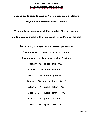#### **SECUENCIA: # 567 No Puedo Parar De Alabarte** <http://www.youtube.com/watch?v=LI8mcmUXgrI>

**// No, no puedo parar de alabarte, No, no puedo parar de alabarte**

**No, no puedo parar de alabarte, Cristo //**

**Toda rodilla se doblara ante él, Es Jesucristo Dios por siempre**

**y toda lengua confesara ante él, que Jesucristo es Dios por siempre**

**Él es el alfa y la omega, Jesucristo Dios por siempre**

**Cuando pienso en lo mucho que él hizo por mí**

**Cuando pienso en el día que él me liberó quiero:**

**Palmear / / / / / quiero palmear / / / /**

**Cantar / / / / / quiero cantar / / / / /**

Gritar ///// quiero gritar /////

Danzar ///// quiero danzar /////

Saltar ///// quiero saltar /////

Girar //// quiero girar /////

**Correr / / / / / quiero correr / / / / /**

Reír ///// quiero reír /////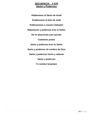## **SECUENCIA: # 570 Santo y Poderoso**

**Alabaremos al Santo de Israel Exaltaremos al león de Judá Publicaremos a nuestro Salvador Majestuoso y poderoso eres tu Señor De mi alma brota una canción Cantemos juntos Santo y poderoso eres tu Señor Santo y poderoso oh cordero de Dios Santo y poderoso fuerte y valiente Santo y poderoso Tu nombre levantare**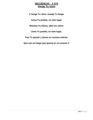## **SECUENCIA: # 573 Venga Tu reino**

**// Venga Tu reino, manda Tu fuego**

**Aviva Tu pueblo, en este lugar**

**Muestra Tu Gloria, abre los cielos**

**Llena Tu pueblo, en este lugar.**

**Pon Tu pasión y deseo en nuestro interior**

**Que sea un fuego que quema en el corazón //**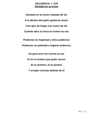## **SECUENCIA: # 576 Sentado en su trono**

**Sentado en su trono rodeado de luz A la diestra del padre gobierna Jesús Con ojos de fuego con rostro de sol Cuando abre su boca es trueno su voz Poderoso en majestad y reino poderoso Poderoso en potestad e imperio poderoso**

**Un gran arco iris corona su ser El es el cordero que pudo vencer El es primero, el es postrer Y arrojan coronas delante de el**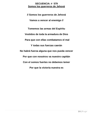## **SECUENCIA: # 579 Somos los guerreros de Jehová**

**// Somos los guerreros de Jehová Vamos a vencer al enemigo // Tomemos las armas del Espíritu Vestidos de toda la armadura de Dios Para que con ellas combatamos el mal Y todas sus fuerzas caerán No habrá fuerza alguna que nos pueda vencer Por que con nosotros va nuestro capitán Con el somos fuertes no debemos temer Por que la victoria nuestra es**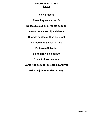## **SECUENCIA: # 582 Fiesta**

**0h x 5 fiesta**

**Fiesta hay en el corazón De los que suben al monte de Sion Fiesta tienen los hijos del Rey Cuando cantan al Dios de Israel En medio de ti esta tu Dios Poderoso Salvador Se gozara y se alegrara Con cánticos de amor Canta hija de Sion, celebra alza tu voz Grita de júbilo a Cristo tu Rey**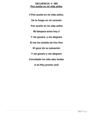## **SECUENCIA: # 585 Pon aceite en mi vida señor**

**// Pon aceite en mi vida señor, De tu fuego en mi corazón Pon aceite en mi vida señor Mi lámpara aviva hoy // Y me gozare, y me alegrare El me ha vestido de lino fino El gozo de su salvación Y me gozare y me alegrare Convidado he sido alas bodas A mi Rey pronto veré**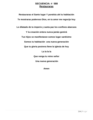## **SECUENCIA: # 588 Restauraras**

**Restauraras el Santo lugar Y pondrás ahí tu habitación** 

**Te mostraras poderoso Dios, en tu amor me regocijo hoy** 

**Lo dilatado de tu imperio y santa paz los confines abarcara**

**Y la creación entera nunca jamás gemirá**

**Tus hijos se manifestaran somos lugar santísimo**

**Somos tu habitación una nueva generación** 

**Que tu gloria postrera llene la iglesia de hoy**

**La la la la** 

**Que venga tu reino señor**

**Una nueva generación** 

**Amen**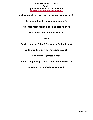#### **SECUENCIA: # 592 Gracias ( me has tomado en tus brazos )** <http://www.youtube.com/watch?v=bGNcfWwuxQw>

#### **Me has tomado en tus brazos y me has dado salvación**

**De tu amor has derramado en mi corazón**

**No sabré agradecerte lo que has hecho por mi**

**Solo puedo darte ahora mi canción**

**coro**

**Gracias, gracias Señor // Gracias, mi Señor Jesús //**

**En la cruz diste tu vida entregaste todo ahí**

**Vida eterna regalaste al morir**

**Por tu sangre tengo entrada ante el trono celestial**

**Puedo entrar confiadamente ante ti.**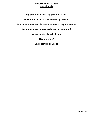## **SECUENCIA: # 595 Hay victoria**

**Hay poder en Jesús, hay poder en la cruz**

**Su victoria, mí victoria es al enemigo venció,** 

**La muerte el destruyo la misma muerte no le pudo vencer**

**Su grande amor demostró dando su vida por mí** 

**Ahora puedo alabarte Jesús** 

**Hay victoria ///**

**En el nombre de Jesús**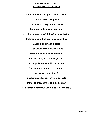# **SECUENCIA: # 598 CUENTAN DE UN DIOS**

**Cuentan de un Dios que hace maravillas Dándole poder a su pueblo Gracias a El conquistaron reinos Tomaron ciudades en su nombre // Le llaman guerrero /// Jehová ce los ejércitos Cuentan de un Dios que hace maravillas Dándole poder a su pueblo Gracias a él conquistaron reinos Tomaron ciudades en su nombre Fue cantando, otras veces gritando Acompañado de sonido de bocina Fue cantando, otras veces gritando A viva voz, a su dios // // Columna de fuego, Torre del desierto Peña de oreb, para todo el sediento // // Le llaman guerrero /// Jehová ce los ejércitos //**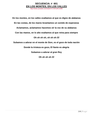# **SECUENCIA: # 601 EN LOS MONTES, EN LOS VALLES**

<http://www.youtube.com/watch?v=GFoUfCJv9f0>

**En los montes, en los valles exaltamos al que es digno de alabanza En las costas, de los mares levantamos un sonido de esperanza Aclamamos, aclamamos hacemos oír la voz de su alabanza Con las manos, en lo alto exaltamos al que reina para siempre Oh oh oh oh, oh oh oh //// Subamos a adorar en el monte de Sion, es el gozo de toda nación Donde la tristeza es gozo, El llanto es alegría Subamos a adorar al gran Rey Oh oh oh oh ////**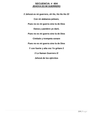#### **SECUENCIA: # 604 JEHOVA ES MI GUERRERO**

**// Jehová es mi guerrero, oh Ho, Ho Ho Ho //// Con mi alabanza peleare, Pues no es mi guerra sino la de Dios Danza y pandero yo daré, Pues no es mi guerra sino la de Dios Címbalo y trompeta sonare Pues no es mi guerra sino la de Dios Y con fuerte y alta voz Yo gritare // // Le llaman Guerrero /// Jehová de los ejércitos**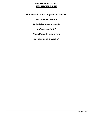# **SECUENCIA: # 607 ESI TUVIERAS FE**

**Si tuvieras fe como un grano de Mostaza**

**Eso lo dice el Señor //**

**Tu le dirías a esa, montaña**

**Muévete, muévete//**

**Y esa Montaña se moverá**

**Se moverá, se moverá ////**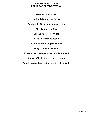#### **SECUENCIA: # 609 PALABRAS DE VIDA ETERNA**

**Pan de vida es Cristo**

**La luz del mundo es Jesús** 

**Cordero de Dios, Inmolado en la cruz**

**Mi salvador y mi Rey**

**El gran Maestro es Cristo** 

**El buen Pastor es Jesús**

**El hijo de Dios, El gran Yo Soy**

**El agua que sacia mi sed**

**// Solo Cristo tiene palabras de vida eterna //**

**Para el afligido, Para el quebrantado** 

**Para todo aquel que quiera ser libre de pecado**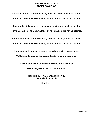#### **SECUENCIA: # 612 ABRE LOS CIELOS**

**// Abre los Cielos, sobre nosotros, Abre los Cielos, Señor haz llover Somos tu pueblo, somos tu viña, abre los Cielos Señor haz llover //**

**Los árboles del campo se han secado, el vino y el aceite se acabo Tu viña está desierta y sin vallado, en nuestra soledad hay un clamor.**

**// Abre los Cielos, sobre nosotros, abre los Cielos, Señor haz llover Somos tu pueblo, somos tu viña, abre los Cielos Señor haz llover //**

**Límpianos, a ti nos volveremos, ven a darnos vida una vez más Vuélvenos de nuestro cautiverio, haz tu remanente regresar**

**Haz llover, haz llover, sobre tus renuevos. Haz llover Haz llover, haz llover haz llover Señor.**

> **Manda la llu – via, Manda la llu – via, Manda la llu – via, ///**

> > **Haz llover**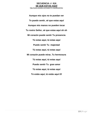#### **SECUENCIA: # 616 SE QUE ESTAS AQUÍ** http://www.youtube.com/watch?v=4ub4Bnd1hSw

**Aunque mis ojos no te puedan ver Te puedo sentir, sé que estas aquí Aunque mis manos no pueden tocar Tu rostro Señor, sé que estas aquí oh oh Mi corazón puede sentir Tu presencia Tú estas aquí, tú estas aquí Puedo sentir Tu majestad Tú estas aquí, tú estas aquí Mi corazón puede mirar, Tu hermosura Tú estas aquí, tú estas aquí Puedo sentir Tu gran amor Tú estas aquí, tú estas aquí Tú estás aquí, tú estás aquí ////**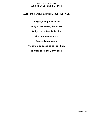#### **SECUENCIA: # 619 Amigos En La Familia De Dios**

**//Wap, shubi wap, shubi wap...shubi dubi wap//**

**Amigos, siempre se aman**

**Amigos, hermanos y hermanas**

**Amigos, en la familia de Dios**

**Son un regalo de dios**

**Son verdaderos oh si**

**Y cuando las cosas no sa -len bien**

**Te aman te cuidan y oran por ti**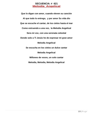#### **SECUENCIA: # 621 Melodía Angelical**

**Que lo digan con amor, cuando eleven su canción Al que todo lo entrego, y por amor Su vida dio Que se escuche el cantar, de los cielos hasta el mar Como estruendo a una voz, la Melodía Angelical Sera mi voz, con una serenata celestial Donde solo a Ti Jesús he de expresar mi gran amor Melodía Angelical Se escucha en los cielos un dulce cantar Melodía Angelical Millones de voces, un solo cantar Melodía, Melodía, Melodía Angelical**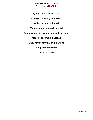### **SECUENCIA: # 624 Rendir Mi Vida**

**Quiero rendir, mi vida a ti, Y reflejar, tu amor y compasión Quiero vivir, tu voluntad Y compartir, al mundo la verdad Quiero cantar, de tu amor, al mundo yo gritar Jesús es el camino la verdad, En Él hay esperanza, en el hay paz Yo quiero proclamar Jesús es señor**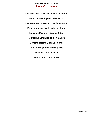## **SECUENCIA: # 626 Las Ventanas**

**Las Ventanas de los cielos se han abierto Es un rio que fluyendo ahora esta Las Ventanas de los cielos se han abierto Es su gloria que ha llenado este lugar Lléname, tócame y sáname Señor Tu presencia inundando mi alma esta Lléname tócame y sáname Señor De tu gloria yo quiero más y más Mi anhelo eres tu Jesús Solo tu amor llena mi ser**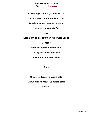## **SECUENCIA: # 629 Secreto Lugar**

**Hay un lugar, donde yo anhelo estar,** 

**Secreto lugar, donde encuentro paz.** 

**Donde puedo expresarte mi amor,** 

**Y mirarte a los ojos Señor,** 

**coro:** 

**Este lugar, se encuentra en tus brazos Jesús,** 

**Mi Jesús,** 

**Donde el tiempo no tiene final.**

**Las lágrimas brotan de amor,** 

**Al sentir tus caricias Jesús.** 

**Coro**

**Mi secreto lugar, yo quiero estar** 

**En tus brazos Jesús, yo quiero estar** 

**coro x 2**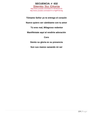**SECUENCIA: # 632** Siento Su Gloria <http://www.youtube.com/watch?v=hfCMJsAI7l4> <http://www.youtube.com/watch?v=zYtghFK3CSg>

**Tómame Señor yo te entrego el corazón**

**Nuevo quiero ser cámbiame con tu amor**

**Tú eres real, Milagroso redentor**

**Manifiéstate aquí al rendirte adoración**

**Coro**

**Siento su gloria es su presencia**

**Son sus manos sanando mi ser**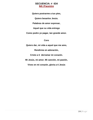## **SECUENCIA: # 634 Mi Pasión**

**Quiero postrarme a tus pies, Quiero besarlos Jesús. Palabras de amor expresar, Aquel que su vida entrego Como podre yo pagar, tan grande amor. Coro**

**Quiero dar, mi vida a aquel que me amo, Rendirme en adoración, Cristo a ti derramar mi corazón. Mi Jesús, mi amor. Mi canción, mi pasión,**

**Vives en mi corazón, gloria a ti Jesús**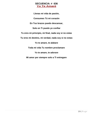## **SECUENCIA: # 636 Yo Te Amaré**

**Llenas mi vida de pasión, Consumes Tú mi corazón En Tus brazos puedo descansar, Solo en Ti puedo yo confiar Tu eres mi principio, mi final, nada soy si no estas Tu eres mi destino, mi verdad, nada soy si no estas Yo te amare, te alabare Toda mi vida Tu nombre proclamare Yo te amare, te adorare Mi amor por siempre solo a Ti entregare**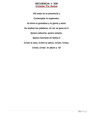## **SECUENCIA: # 638 Cristo Te Amo**

**//Al estar en tu presencia y Contemplar tu esplendor, Al mirar tu grandeza y tu gloria y amor Se acaban las palabras, mi ser se goza en ti Quiero adorarte, quiero amarte, Quiero honrarte mi Señor.// Cristo te amo, Cristo te adoro, Cristo, Cristo, Cristo, Cristo te adoro a ti//**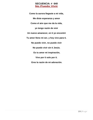#### **SECUENCIA: # 640 No Puedo Vivir**

**Como la aurora llegaste a mi vida, Me diste esperanza y amor Como el aire que me da la vida, yo tengo razón de vivir Un nuevo amanecer, en ti yo encontré Tu amor lleno mi ser, y hoy vivo para ti. No puedo vivir, no puedo vivir No puedo vivir sin ti Jesús. Es tu amor mi inspiración, Vivo por ti solo por ti. Eres la razón de mi adoración.**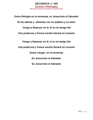**SECUENCIA: # 643** Dulce Refugio <http://www.youtube.com/watch?v=TE2OZ0LUrNo>

**Dulce Refugio en la tormenta, es Jesucristo el Salvador Él me alienta y alimenta con su palabra y su amor Vengo a Reposar en él, él es mi amigo fiel Una poderosa y fresca unción llenará mi corazón Vengo a Reposar en él, el es mi amigo fiel Una poderosa y fresca unción llenará mi corazón Dulce refugio en la tormenta Es Jesucristo el Salvador Es Jesucristo el Salvador**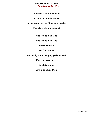## **SECUENCIA: # 645 La Victoria Mi Es**

**//Victoria la Victoria mía es**

**Victoria la Victoria mía es**

**Si mantengo mi paz Él pelea la batalla**

**Victoria la victoria mía es//**

**Mira lo que hizo Dios**

**Mira lo que hizo Dios**

**Sanó mi cuerpo**

**Tocó mi mente**

**Me salvó justo a tiempo y yo le alabaré**

**Es el mismo de ayer**

**Le alabaremos**

**Mira lo que hizo Dios.**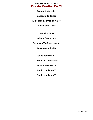### **SECUENCIA: # 648 Puedo Confiar En Ti**

**Cuando triste estoy**

**Cansado del temor**

**Extiendes tu brazo de Amor**

**Y me das tu Calor**

**Y en mi soledad**

**Aliento Tú me das**

**Derramas Tu Santa Unción**

**Saciándome Señor**

**Puedo confiar en Ti**

**Tú Eres mi Gran Amor**

**Sanas todo mi dolor**

**Puedo confiar en Ti**

**Puedo confiar en Ti**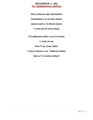## **SECUENCIA: # 651 Te Alabamos Señor**

**//Hoy estamos aquí adorándote**

**Cantándote a Ti mi Gran Señor**

**Quiero subir a Tu Monte Santo**

**Y verte ahí mi único Rey//**

**//Te alabamos Señor con el Corazón**

**Y rindo mi ser**

**Ante Ti oh, Gran Señor**

**Y hoy te damos Loor Poderoso Señor**

**Solo a Ti mi único Señor//**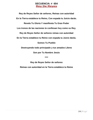## **SECUENCIA: # 654 Rey De Reyes**

**Rey de Reyes Señor de señores, Reinas con autoridad**

**En la Tierra establece tu Reino, Con espada tu Juicio darás.**

**Revela Tu Gloria Y manifiesta Tu Gran Poder**

**Los tronos de las naciones te confiesan hoy como su Rey.**

**Rey de Reyes Señor de señores reinas con autoridad**

**En la Tierra establece tu Reino con espada tu Juicio darás.**

**Somos Tu Pueblo**

**Destruyendo todo principado y tus amados Libres**

**Son por Tu Nombre Jesús**

**\*\*\*\***

**Rey de Reyes Señor de señores**

**Reinas con autoridad en la Tierra establece tu Reino**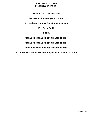## **SECUENCIA # 657 EL SANTO DE ISRAEL**

**El Santo de Israel está aquí**

**Ha descendido con gloria y poder**

**Su nombre es Jehová Dios fuerte y valiente**

**El león de Judá.**

#### **CORO:**

**Alabamos exaltamos hoy al santo de Israel**

**Alabamos exaltamos hoy al santo de Israel**

**Alabamos exaltamos hoy al santo de Israel**

**Su nombre es Jehová Dios Fuerte y valiente el León de Judá.**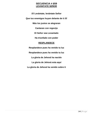#### **SECUENCIA # 659 LEVÁNTATE SEÑOR**

**//// Levántate, levántate Señor**

**Que tus enemigos huyen delante de ti ////**

**Más los justos se alegraran**

**Cantaran con regocijo**

**El Señor sea Levantado**

**Ha triunfado con poder**

#### **RESPLANDECE**

**Resplandece pues ha venido tu luz**

**Resplandece pues ha venido tu luz**

**La gloria de Jehová ha nacido**

**La gloria de Jehová esta aquí**

**La gloria de Jehová ha venido sobre ti**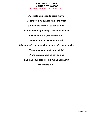#### **SECUENCIA # 662 LA NIÑA DE TUS OJOS** http://www.voutube.com/watch?v=QGSiU feSI

**//Me viste a mi cuando nadie me vio Me amaste a mi cuando nadie me amo// //Y me diste nombre, yo soy tu niña, La niña de tus ojos porque me amaste a mí// //Me amaste a mí, Me amaste a mí, Me amaste a mí, Me amaste a mí// ////Te amo más que a mi vida, te amo más que a mi vida Te amo más que a mi vida, más//// //Y me diste nombre yo soy tu niña La niña de tus ojos porque me amaste a mí// Me amaste a mí.**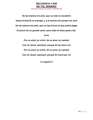**SECUENCIA # 665 DE TAL MANERA** <http://www.youtube.com/watch?v=QSWZDevixSg>

**De tal manera me amó, que su vida no escatimó Hasta el final El se entregó, y a la muerte fue porque me amó De tal manera me amó, que no hay forma en que podré pagar El precio de su grande amor, pero toda mi alma quiero dar.**

#### **Coro**

**Por su amor yo viviré, de su amor yo cantaré Con mi Jesús caminaré, porque El me amó a mí Por su amor yo viviré, de su amor yo cantaré Con mi Jesús caminaré, porque El murió por mí**

**Le seguiré //**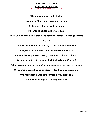#### **SECUENCIA # 668 VUELVE A LLAMAR** <http://www.youtube.com/watch?v=7yilFjVrQR8>

**Si llamaras otra vez seria distinto No como la última vez, ya no soy el mismo Si llamaras otra vez, yo te aseguro Mi cansado corazón quiere ser tuyo Abriría sin dudar a ti la puerta, no te haría yo esperar… No tengo fuerzas CORO // Vuelve a llamar que listo estoy, Vuelve a tocar mi corazón Ese jardín de intimidad, Que se marchita si no estas Vuelve a llamar que atento estoy, Quiero escuchar tu dulce voz Sera un secreto entre los dos, La intimidad entre tú y yo // Si buscaras otra vez mi compañía, tu amistad seria mi pan, de cada día Si llegaras otra vez hasta mi puerta, no tendrías que aguardar… Una respuesta, Saltaría mi corazón por tu presencia No te haría yo esperar, No tengo fuerzas**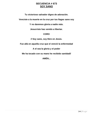## **SECUENCIA # 673 SOY SANO**

**Tu victorioso salvador digno de adoración.**

**Venciste a la muerte en la cruz por tus llagas sano soy**

**Y no daremos gloria a nadie más.**

**Jesucristo has venido a libertar.**

# **CORO**

**// Soy sano, soy libre en Jesús.**

**Fue allá en aquella cruz que el venció la enfermedad**

**A el sea la gloria y el poder**

**Me ha tocado con su mano he recibido sanidad//**

**AMÉN...**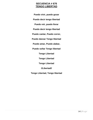# **SECUENCIA # 676 TENGO LIBERTAD**

**Puedo vivir, puedo gozar Puedo decir tengo libertad Puedo reír, puedo llorar Puedo decir tengo libertad Puedo cantar, Puedo correr, Puedo danzar Tengo libertad Puedo amar, Puedo alabar, Puedo soñar Tengo libertad Tengo Libertad Tengo Libertad Tengo Libertad //Libertad//**

**Tengo Libertad, Tengo libertad**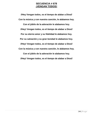## **SECUENCIA # 678 ¡VENGAN TODOS!**

**//Hey Vengan todos, es el tiempo de alabar a Dios// Con la música y con nuestra canción, le alabamos hoy.**

**Con el júbilo de la adoración le alabamos hoy. //Hey! Vengan todos, es el tiempo de alabar a Dios// Por su eterno amor y su fidelidad le alabamos hoy. Por su salvación y su gran bondad le alabamos hoy. //Hey! Vengan todos, es el tiempo de alabar a Dios// Con la música y con nuestra canción, le alabamos hoy.**

**Con el júbilo de la adoración le alabamos hoy. //Hey! Vengan todos, es el tiempo de alabar a Dios//**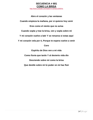#### **SECUENCIA # 681 COMO LA BRISA** <http://www.youtube.com/watch?v=pHaSz10kWHc>

**Abro el corazón y las ventanas Cuando empieza la mañana, por si quieres hoy venir Eres como el viento que no avisa Cuando sopla y trae la brisa, ven y sopla sobre mí Y mi corazón vuelve a latir Y se renueva si estas aquí Y mi corazón vela por ti, Porque te espera vuelve a venir Coro Espíritu de Dios ven a mi vida Como lluvia que tardo Y al desierto vida dio Desciende sobre mí como la brisa Que destile sobre mí tú poder en mi haz fluir**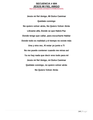#### **SECUENCIA # 684 JESÚS MI FIEL AMIGO** <http://www.youtube.com/watch?v=RHBEXEmkhRs>

**Jesús mi fiel Amigo, Mi Dulce Caminar Quédate conmigo No quiero volver atrás, No Quiero Volver Atrás Llévame allá, Donde se que Habrá Paz Donde tengo que callar, para escucharte Hablar Donde todo es realidad y el tiempo no existe más Una y otra vez, Al estar yo junto a Ti No me puedo contener cuando me miras así Ya no hay nada que decir eres todo para mí Jesús mi fiel Amigo, mi Dulce Caminar Quédate conmigo, no quiero volver atrás No Quiero Volver Atrás**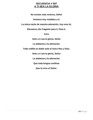# **SECUENCIA # 687 A TI SEA LA GLORIA**

**No existen más motivos, Señor**

**Venimos hoy rendidos a ti.**

**La única razón de nuestra adoración, hoy eres tú.**

**Elevamos olor fragante para ti, Para ti.**

**Coro**

**Solo a ti sea la gloria, Señor**

**La alabanza y la adoración.**

**Toda rodilla se doble ante el único Rey y Dios.**

**Solo a ti sea la gloria, Señor**

**La alabanza y la adoración.**

**Que toda lengua confiese**

**Que tú eres el Señor.**